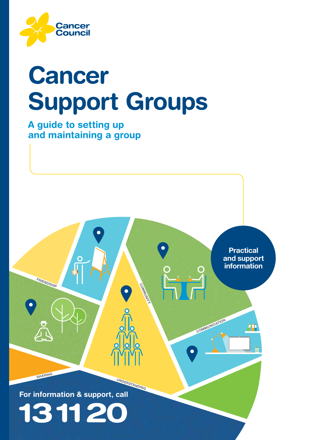

# Cancer Support Groups

A guide to setting up and maintaining a group

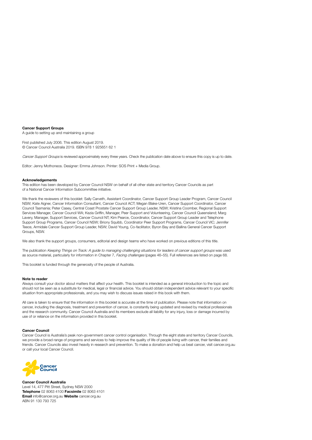#### Cancer Support Groups

A guide to setting up and maintaining a group

First published July 2006. This edition August 2019. © Cancer Council Australia 2019. ISBN 978 1 925651 62 1

Cancer Support Groups is reviewed approximately every three years. Check the publication date above to ensure this copy is up to date.

Editor: Jenny Mothoneos. Designer: Emma Johnson. Printer: SOS Print + Media Group.

#### Acknowledgements

This edition has been developed by Cancer Council NSW on behalf of all other state and territory Cancer Councils as part of a National Cancer Information Subcommittee initiative.

We thank the reviewers of this booklet: Sally Carveth, Assistant Coordinator, Cancer Support Group Leader Program, Cancer Council NSW; Kate Aigner, Cancer Information Consultant, Cancer Council ACT; Megan Blake-Uren, Cancer Support Coordinator, Cancer Council Tasmania; Peter Casey, Central Coast Prostate Cancer Support Group Leader, NSW; Kristina Coomber, Regional Support Services Manager, Cancer Council WA; Kezia Griffin, Manager, Peer Support and Volunteering, Cancer Council Queensland; Marg Lavery, Manager, Support Services, Cancer Council NT; Kim Pearce, Coordinator, Cancer Support Group Leader and Telephone Support Group Programs, Cancer Council NSW; Briony Squibb, Coordinator Peer Support Programs, Cancer Council VIC; Jennifer Teece, Armidale Cancer Support Group Leader, NSW; David Young, Co-facilitator, Byron Bay and Ballina General Cancer Support Groups, NSW.

We also thank the support groups, consumers, editorial and design teams who have worked on previous editions of this title.

The publication Keeping Things on Track: A guide to managing challenging situations for leaders of cancer support groups was used as source material, particularly for information in Chapter 7, Facing challenges (pages 46–55). Full references are listed on page 68.

This booklet is funded through the generosity of the people of Australia.

#### Note to reader

Always consult your doctor about matters that affect your health. This booklet is intended as a general introduction to the topic and should not be seen as a substitute for medical, legal or financial advice. You should obtain independent advice relevant to your specific situation from appropriate professionals, and you may wish to discuss issues raised in this book with them.

All care is taken to ensure that the information in this booklet is accurate at the time of publication. Please note that information on cancer, including the diagnosis, treatment and prevention of cancer, is constantly being updated and revised by medical professionals and the research community. Cancer Council Australia and its members exclude all liability for any injury, loss or damage incurred by use of or reliance on the information provided in this booklet.

#### Cancer Council

Cancer Council is Australia's peak non-government cancer control organisation. Through the eight state and territory Cancer Councils, we provide a broad range of programs and services to help improve the quality of life of people living with cancer, their families and friends. Cancer Councils also invest heavily in research and prevention. To make a donation and help us beat cancer, visit [cancer.org.au](http://cancer.org.au)  or call your local Cancer Council.



Cancer Council Australia Level 14, 477 Pitt Street, Sydney NSW 2000 Telephone 02 8063 4100 Facsimile 02 8063 4101 Email [info@cancer.org.au](mailto:info%40cancer.org.au?subject=) Website [cancer.org.au](http://cancer.org.au) ABN 91 130 793 725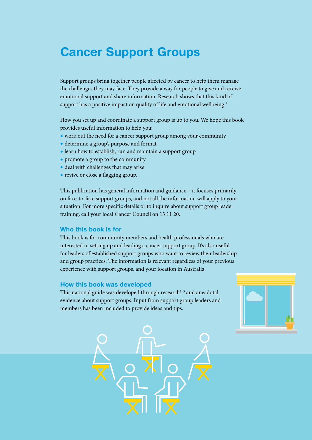## Cancer Support Groups

Support groups bring together people affected by cancer to help them manage the challenges they may face. They provide a way for people to give and receive emotional support and share information. Research shows that this kind of support has a positive impact on quality of life and emotional wellbeing.<sup>1</sup>

How you set up and coordinate a support group is up to you. We hope this book provides useful information to help you:

- work out the need for a cancer support group among your community
- determine a group's purpose and format
- learn how to establish, run and maintain a support group
- promote a group to the community
- deal with challenges that may arise
- revive or close a flagging group.

This publication has general information and guidance – it focuses primarily on face-to-face support groups, and not all the information will apply to your situation. For more specific details or to inquire about support group leader training, call your local Cancer Council on 13 11 20.

#### Who this book is for

This book is for community members and health professionals who are interested in setting up and leading a cancer support group. It's also useful for leaders of established support groups who want to review their leadership and group practices. The information is relevant regardless of your previous experience with support groups, and your location in Australia.

#### How this book was developed

This national guide was developed through research $1-3$  and anecdotal evidence about support groups. Input from support group leaders and members has been included to provide ideas and tips.



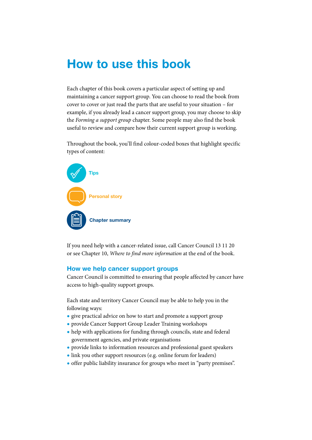## How to use this book

Each chapter of this book covers a particular aspect of setting up and maintaining a cancer support group. You can choose to read the book from cover to cover or just read the parts that are useful to your situation – for example, if you already lead a cancer support group, you may choose to skip the *Forming a support group* chapter. Some people may also find the book useful to review and compare how their current support group is working.

Throughout the book, you'll find colour-coded boxes that highlight specific types of content:



If you need help with a cancer-related issue, call Cancer Council 13 11 20 or see Chapter 10, *Where to find more information* at the end of the book.

#### How we help cancer support groups

Cancer Council is committed to ensuring that people affected by cancer have access to high-quality support groups.

Each state and territory Cancer Council may be able to help you in the following ways:

- give practical advice on how to start and promote a support group
- provide Cancer Support Group Leader Training workshops
- help with applications for funding through councils, state and federal government agencies, and private organisations
- provide links to information resources and professional guest speakers
- link you other support resources (e.g. online forum for leaders)
- offer public liability insurance for groups who meet in "party premises".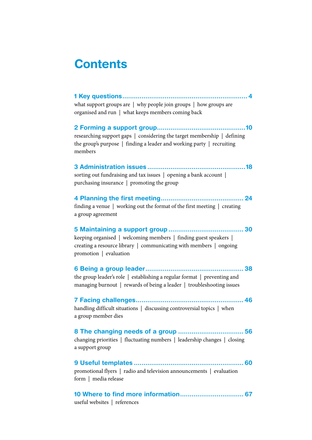## **Contents**

[1 Key questions.................................................................](#page-6-0) 4 what support groups are | why people join groups | how groups are organised and run | what keeps members coming back

[2 Forming a support group..............................................10](#page-12-0) researching support gaps | considering the target membership | defining the group's purpose | finding a leader and working party | recruiting members

3 Administration issues [...................................................18](#page-20-0) sorting out fundraising and tax issues | opening a bank account | purchasing insurance | promoting the group

[4 Planning the first meeting...........................................](#page-26-0) 24 finding a venue | working out the format of the first meeting | creating a group agreement

[5 Maintaining a support group](#page-32-0) ....................................... 30 keeping organised | welcoming members | finding guest speakers | creating a resource library | communicating with members | ongoing promotion | evaluation

[6 Being a group leader...................................................](#page-40-0) 38

the group leader's role | establishing a regular format | preventing and managing burnout | rewards of being a leader | troubleshooting issues

[7 Facing challenges........................................................](#page-48-0) 46

handling difficult situations | discussing controversial topics | when a group member dies

[8 The changing needs of a group](#page-58-0) .................................. 56 changing priorities | fluctuating numbers | leadership changes | closing a support group

9 Useful templates [.........................................................](#page-62-0) 60 promotional flyers | radio and television announcements | evaluation form | media release

[10 Where to find more information.................................](#page-68-0) 67 useful websites | references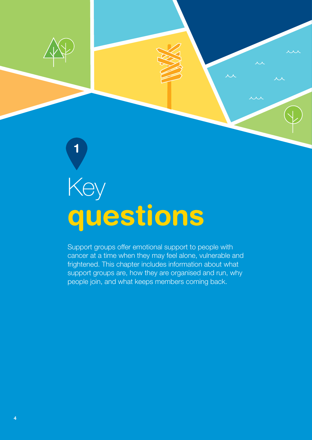

1

# questions Key

Support groups offer emotional support to people with cancer at a time when they may feel alone, vulnerable and frightened. This chapter includes information about what support groups are, how they are organised and run, why people join, and what keeps members coming back.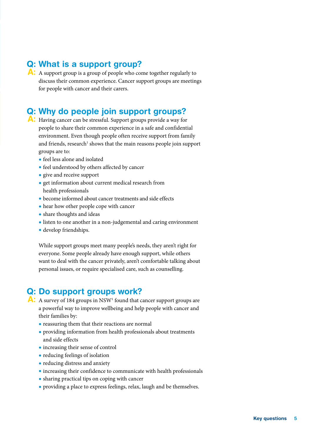## Q: What is a support group?

A: A support group is a group of people who come together regularly to discuss their common experience. Cancer support groups are meetings for people with cancer and their carers.

## Q: Why do people join support groups?

- <span id="page-6-0"></span>A: Having cancer can be stressful. Support groups provide a way for people to share their common experience in a safe and confidential environment. Even though people often receive support from family and friends, research<sup>1</sup> shows that the main reasons people join support groups are to:
	- feel less alone and isolated
	- feel understood by others affected by cancer
	- give and receive support
	- get information about current medical research from health professionals
	- become informed about cancer treatments and side effects
	- hear how other people cope with cancer
	- share thoughts and ideas
	- listen to one another in a non-judgemental and caring environment
	- develop friendships.

While support groups meet many people's needs, they aren't right for everyone. Some people already have enough support, while others want to deal with the cancer privately, aren't comfortable talking about personal issues, or require specialised care, such as counselling.

## Q: Do support groups work?

A: A survey of 184 groups in NSW<sup>1</sup> found that cancer support groups are a powerful way to improve wellbeing and help people with cancer and their families by:

- reassuring them that their reactions are normal
- providing information from health professionals about treatments and side effects
- increasing their sense of control
- reducing feelings of isolation
- reducing distress and anxiety
- increasing their confidence to communicate with health professionals
- sharing practical tips on coping with cancer
- providing a place to express feelings, relax, laugh and be themselves.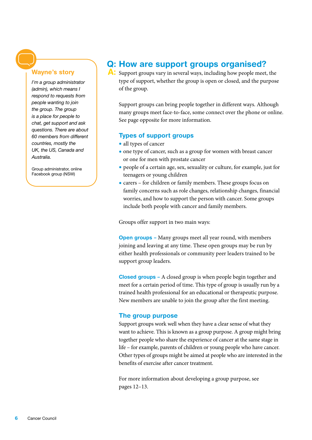#### Wayne's story

*I'm a group administrator (admin), which means I respond to requests from people wanting to join the group. The group is a place for people to chat, get support and ask questions. There are about 60 members from different countries, mostly the UK, the US, Canada and Australia.*

Group administrator, online Facebook group (NSW)

## Q: How are support groups organised?

A: Support groups vary in several ways, including how people meet, the type of support, whether the group is open or closed, and the purpose of the group.

Support groups can bring people together in different ways. Although many groups meet face-to-face, some connect over the phone or online. See page opposite for more information.

#### Types of support groups

- all types of cancer
- one type of cancer, such as a group for women with breast cancer or one for men with prostate cancer
- people of a certain age, sex, sexuality or culture, for example, just for teenagers or young children
- carers for children or family members. These groups focus on family concerns such as role changes, relationship changes, financial worries, and how to support the person with cancer. Some groups include both people with cancer and family members.

Groups offer support in two main ways:

**Open groups** – Many groups meet all year round, with members joining and leaving at any time. These open groups may be run by either health professionals or community peer leaders trained to be support group leaders.

Closed groups – A closed group is when people begin together and meet for a certain period of time. This type of group is usually run by a trained health professional for an educational or therapeutic purpose. New members are unable to join the group after the first meeting.

#### The group purpose

Support groups work well when they have a clear sense of what they want to achieve. This is known as a group purpose. A group might bring together people who share the experience of cancer at the same stage in life – for example, parents of children or young people who have cancer. Other types of groups might be aimed at people who are interested in the benefits of exercise after cancer treatment.

For more information about developing a group purpose, see pages 12–13.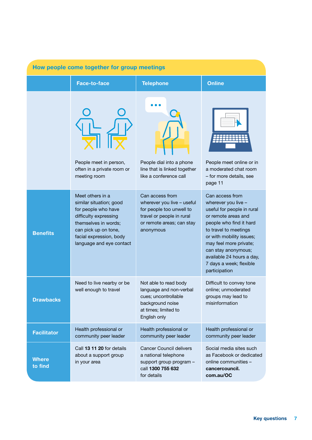| How people come together for group meetings |                                                                                                                                                                                                    |                                                                                                                                                  |                                                                                                                                                                                                                                                                                                       |  |
|---------------------------------------------|----------------------------------------------------------------------------------------------------------------------------------------------------------------------------------------------------|--------------------------------------------------------------------------------------------------------------------------------------------------|-------------------------------------------------------------------------------------------------------------------------------------------------------------------------------------------------------------------------------------------------------------------------------------------------------|--|
|                                             | Face-to-face                                                                                                                                                                                       | <b>Telephone</b>                                                                                                                                 | <b>Online</b>                                                                                                                                                                                                                                                                                         |  |
|                                             | People meet in person,<br>often in a private room or<br>meeting room                                                                                                                               | People dial into a phone<br>line that is linked together<br>like a conference call                                                               | People meet online or in<br>a moderated chat room<br>- for more details, see<br>page 11                                                                                                                                                                                                               |  |
| <b>Benefits</b>                             | Meet others in a<br>similar situation; good<br>for people who have<br>difficulty expressing<br>themselves in words;<br>can pick up on tone,<br>facial expression, body<br>language and eye contact | Can access from<br>wherever you live - useful<br>for people too unwell to<br>travel or people in rural<br>or remote areas; can stay<br>anonymous | Can access from<br>wherever you live -<br>useful for people in rural<br>or remote areas and<br>people who find it hard<br>to travel to meetings<br>or with mobility issues;<br>may feel more private;<br>can stay anonymous;<br>available 24 hours a day,<br>7 days a week; flexible<br>participation |  |
| <b>Drawbacks</b>                            | Need to live nearby or be<br>well enough to travel                                                                                                                                                 | Not able to read body<br>language and non-verbal<br>cues; uncontrollable<br>background noise<br>at times; limited to<br>English only             | Difficult to convey tone<br>online; unmoderated<br>groups may lead to<br>misinformation                                                                                                                                                                                                               |  |
| <b>Facilitator</b>                          | Health professional or<br>community peer leader                                                                                                                                                    | Health professional or<br>community peer leader                                                                                                  | Health professional or<br>community peer leader                                                                                                                                                                                                                                                       |  |
| <b>Where</b><br>to find                     | Call 13 11 20 for details<br>about a support group<br>in your area                                                                                                                                 | <b>Cancer Council delivers</b><br>a national telephone<br>support group program -<br>call 1300 755 632<br>for details                            | Social media sites such<br>as Facebook or dedicated<br>online communities -<br>cancercouncil.<br>com.au/OC                                                                                                                                                                                            |  |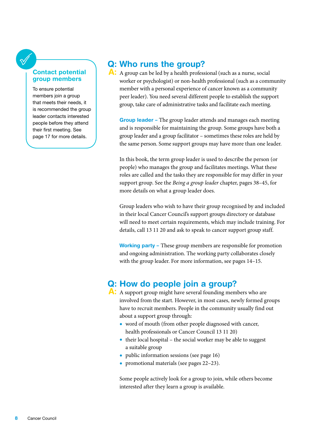#### Contact potential group members

To ensure potential members join a group that meets their needs, it is recommended the group leader contacts interested people before they attend their first meeting. See page 17 for more details.

## Q: Who runs the group?

A: A group can be led by a health professional (such as a nurse, social worker or psychologist) or non-health professional (such as a community member with a personal experience of cancer known as a community peer leader). You need several different people to establish the support group, take care of administrative tasks and facilitate each meeting.

Group leader – The group leader attends and manages each meeting and is responsible for maintaining the group. Some groups have both a group leader and a group facilitator – sometimes these roles are held by the same person. Some support groups may have more than one leader.

In this book, the term group leader is used to describe the person (or people) who manages the group and facilitates meetings. What these roles are called and the tasks they are responsible for may differ in your support group. See the *Being a group leader* chapter, pages 38–45, for more details on what a group leader does.

Group leaders who wish to have their group recognised by and included in their local Cancer Council's support groups directory or database will need to meet certain requirements, which may include training. For details, call 13 11 20 and ask to speak to cancer support group staff.

Working party – These group members are responsible for promotion and ongoing administration. The working party collaborates closely with the group leader. For more information, see pages 14–15.

## Q: How do people join a group?

- A: A support group might have several founding members who are involved from the start. However, in most cases, newly formed groups have to recruit members. People in the community usually find out about a support group through:
	- word of mouth (from other people diagnosed with cancer, health professionals or Cancer Council 13 11 20)
	- their local hospital the social worker may be able to suggest a suitable group
	- public information sessions (see page 16)
	- promotional materials (see pages 22–23).

Some people actively look for a group to join, while others become interested after they learn a group is available.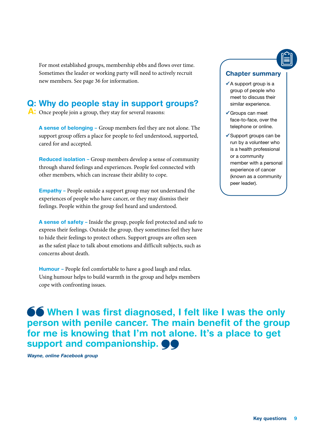For most established groups, membership ebbs and flows over time. Sometimes the leader or working party will need to actively recruit new members. See page 36 for information.

## Q: Why do people stay in support groups?

A: Once people join a group, they stay for several reasons:

A sense of belonging – Group members feel they are not alone. The support group offers a place for people to feel understood, supported, cared for and accepted.

Reduced isolation – Group members develop a sense of community through shared feelings and experiences. People feel connected with other members, which can increase their ability to cope.

Empathy – People outside a support group may not understand the experiences of people who have cancer, or they may dismiss their feelings. People within the group feel heard and understood.

A sense of safety – Inside the group, people feel protected and safe to express their feelings. Outside the group, they sometimes feel they have to hide their feelings to protect others. Support groups are often seen as the safest place to talk about emotions and difficult subjects, such as concerns about death.

Humour – People feel comfortable to have a good laugh and relax. Using humour helps to build warmth in the group and helps members cope with confronting issues.

#### Chapter summary

- $\checkmark$  A support group is a group of people who meet to discuss their similar experience.
- Groups can meet face-to-face, over the telephone or online.
- $\checkmark$  Support groups can be run by a volunteer who is a health professional or a community member with a personal experience of cancer (known as a community peer leader).

**66** When I was first diagnosed, I felt like I was the only person with penile cancer. The main benefit of the group for me is knowing that I'm not alone. It's a place to get support and companionship.  $\bullet \bullet$ 

Wayne, online Facebook group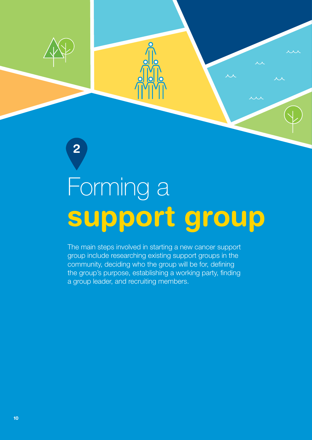

2

# support group Forming a

The main steps involved in starting a new cancer support group include researching existing support groups in the community, deciding who the group will be for, defining the group's purpose, establishing a working party, finding a group leader, and recruiting members.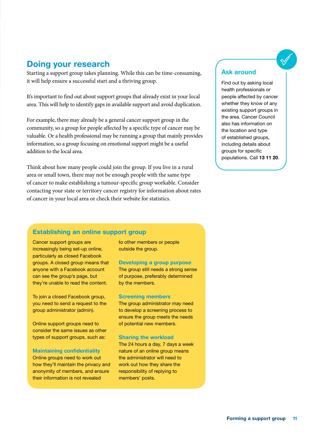### Doing your research

Starting a support group takes planning. While this can be time-consuming, it will help ensure a successful start and a thriving group.

It's important to find out about support groups that already exist in your local area. This will help to identify gaps in available support and avoid duplication.

For example, there may already be a general cancer support group in the community, so a group for people affected by a specific type of cancer may be valuable. Or a health professional may be running a group that mainly provides information, so a group focusing on emotional support might be a useful addition to the local area.

<span id="page-12-0"></span>Think about how many people could join the group. If you live in a rural area or small town, there may not be enough people with the same type of cancer to make establishing a tumour-specific group workable. Consider contacting your state or territory cancer registry for information about rates of cancer in your local area or check their website for statistics.

#### Ask around

Find out by asking local health professionals or people affected by cancer whether they know of any existing support groups in the area. Cancer Council also has information on the location and type of established groups, including details about groups for specific populations. Call 13 11 20.

#### Establishing an online support group

Cancer support groups are increasingly being set-up online, particularly as closed Facebook groups. A closed group means that anyone with a Facebook account can see the group's page, but they're unable to read the content.

To join a closed Facebook group. you need to send a request to the group administrator (admin).

Online support groups need to consider the same issues as other types of support groups, such as:

#### Maintaining confidentiality

Online groups need to work out how they'll maintain the privacy and anonymity of members, and ensure their information is not revealed

to other members or people outside the group.

#### Developing a group purpose

The group still needs a strong sense of purpose, preferably determined by the members.

#### Screening members

The group administrator may need to develop a screening process to ensure the group meets the needs of potential new members.

#### Sharing the workload

The 24 hours a day, 7 days a week nature of an online group means the administrator will need to work out how they share the responsibility of replying to members' posts.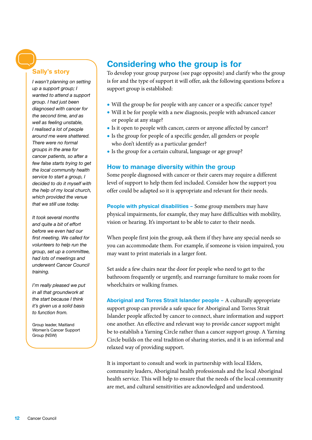#### Sally's story

*I wasn't planning on setting up a support group; I wanted to attend a support group. I had just been diagnosed with cancer for the second time, and as well as feeling unstable, I realised a lot of people around me were shattered. There were no formal groups in the area for cancer patients, so after a few false starts trying to get the local community health service to start a group, I decided to do it myself with the help of my local church, which provided the venue that we still use today.* 

*It took several months and quite a bit of effort before we even had our first meeting. We called for volunteers to help run the group, set up a committee, had lots of meetings and underwent Cancer Council training.*

*I'm really pleased we put in all that groundwork at the start because I think it's given us a solid basis to function from.*

Group leader, Maitland Women's Cancer Support Group (NSW)

## Considering who the group is for

To develop your group purpose (see page opposite) and clarify who the group is for and the type of support it will offer, ask the following questions before a support group is established:

- Will the group be for people with any cancer or a specific cancer type?
- Will it be for people with a new diagnosis, people with advanced cancer or people at any stage?
- Is it open to people with cancer, carers or anyone affected by cancer?
- Is the group for people of a specific gender, all genders or people who don't identify as a particular gender?
- Is the group for a certain cultural, language or age group?

#### How to manage diversity within the group

Some people diagnosed with cancer or their carers may require a different level of support to help them feel included. Consider how the support you offer could be adapted so it is appropriate and relevant for their needs.

People with physical disabilities - Some group members may have physical impairments, for example, they may have difficulties with mobility, vision or hearing. It's important to be able to cater to their needs.

When people first join the group, ask them if they have any special needs so you can accommodate them. For example, if someone is vision impaired, you may want to print materials in a larger font.

Set aside a few chairs near the door for people who need to get to the bathroom frequently or urgently, and rearrange furniture to make room for wheelchairs or walking frames.

Aboriginal and Torres Strait Islander people – A culturally appropriate support group can provide a safe space for Aboriginal and Torres Strait Islander people affected by cancer to connect, share information and support one another. An effective and relevant way to provide cancer support might be to establish a Yarning Circle rather than a cancer support group. A Yarning Circle builds on the oral tradition of sharing stories, and it is an informal and relaxed way of providing support.

It is important to consult and work in partnership with local Elders, community leaders, Aboriginal health professionals and the local Aboriginal health service. This will help to ensure that the needs of the local community are met, and cultural sensitivities are acknowledged and understood.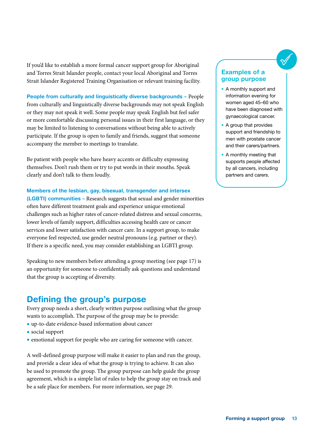If you'd like to establish a more formal cancer support group for Aboriginal and Torres Strait Islander people, contact your local Aboriginal and Torres Strait Islander Registered Training Organisation or relevant training facility.

People from culturally and linguistically diverse backgrounds - People from culturally and linguistically diverse backgrounds may not speak English or they may not speak it well. Some people may speak English but feel safer or more comfortable discussing personal issues in their first language, or they may be limited to listening to conversations without being able to actively participate. If the group is open to family and friends, suggest that someone accompany the member to meetings to translate.

Be patient with people who have heavy accents or difficulty expressing themselves. Don't rush them or try to put words in their mouths. Speak clearly and don't talk to them loudly.

#### Members of the lesbian, gay, bisexual, transgender and intersex

(LGBTI) communities – Research suggests that sexual and gender minorities often have different treatment goals and experience unique emotional challenges such as higher rates of cancer-related distress and sexual concerns, lower levels of family support, difficulties accessing health care or cancer services and lower satisfaction with cancer care. In a support group, to make everyone feel respected, use gender neutral pronouns (e.g. partner or they). If there is a specific need, you may consider establishing an LGBTI group.

Speaking to new members before attending a group meeting (see page 17) is an opportunity for someone to confidentially ask questions and understand that the group is accepting of diversity.

## Defining the group's purpose

Every group needs a short, clearly written purpose outlining what the group wants to accomplish. The purpose of the group may be to provide:

- up-to-date evidence-based information about cancer
- social support
- emotional support for people who are caring for someone with cancer.

A well-defined group purpose will make it easier to plan and run the group, and provide a clear idea of what the group is trying to achieve. It can also be used to promote the group. The group purpose can help guide the group agreement, which is a simple list of rules to help the group stay on track and be a safe place for members. For more information, see page 29.

#### Examples of a group purpose

- A monthly support and information evening for women aged 45–60 who have been diagnosed with gynaecological cancer.
- A group that provides support and friendship to men with prostate cancer and their carers/partners.
- A monthly meeting that supports people affected by all cancers, including partners and carers.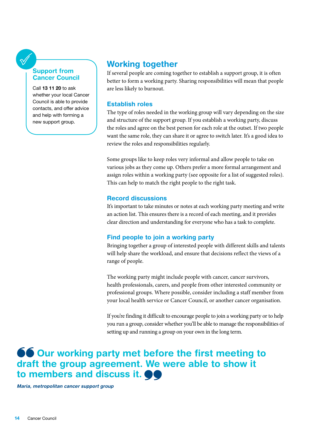#### Support from Cancer Council

Call 13 11 20 to ask whether your local Cancer Council is able to provide contacts, and offer advice and help with forming a new support group.

## Working together

If several people are coming together to establish a support group, it is often better to form a working party. Sharing responsibilities will mean that people are less likely to burnout.

#### Establish roles

The type of roles needed in the working group will vary depending on the size and structure of the support group. If you establish a working party, discuss the roles and agree on the best person for each role at the outset. If two people want the same role, they can share it or agree to switch later. It's a good idea to review the roles and responsibilities regularly.

Some groups like to keep roles very informal and allow people to take on various jobs as they come up. Others prefer a more formal arrangement and assign roles within a working party (see opposite for a list of suggested roles). This can help to match the right people to the right task.

#### Record discussions

It's important to take minutes or notes at each working party meeting and write an action list. This ensures there is a record of each meeting, and it provides clear direction and understanding for everyone who has a task to complete.

#### Find people to join a working party

Bringing together a group of interested people with different skills and talents will help share the workload, and ensure that decisions reflect the views of a range of people.

The working party might include people with cancer, cancer survivors, health professionals, carers, and people from other interested community or professional groups. Where possible, consider including a staff member from your local health service or Cancer Council, or another cancer organisation.

If you're finding it difficult to encourage people to join a working party or to help you run a group, consider whether you'll be able to manage the responsibilities of setting up and running a group on your own in the long term.

## **66 Our working party met before the first meeting to** draft the group agreement. We were able to show it to members and discuss it.  $\bullet\bullet$

Maria, metropolitan cancer support group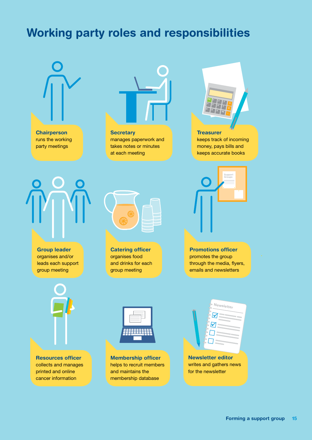## Working party roles and responsibilities





**Secretary** manages paperwork and takes notes or minutes at each meeting



**Treasurer** keeps track of incoming money, pays bills and keeps accurate books

> Support Groups



Group leader organises and/or leads each support group meeting



Catering officer organises food and drinks for each group meeting

Promotions officer promotes the group through the media, flyers, emails and newsletters

Resources officer collects and manages printed and online cancer information



Membership officer helps to recruit members and maintains the membership database

Newsletter editor writes and gathers news for the newsletter

 $\boldsymbol{\nabla}$  $\boxtimes$ 

 $\Box$ 

Newsletter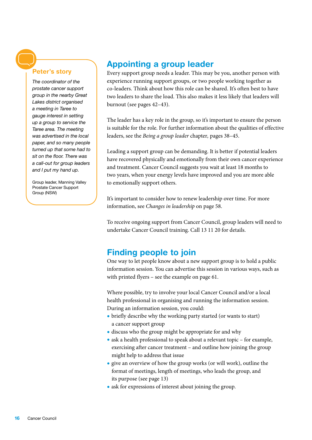#### Peter's story

*The coordinator of the prostate cancer support group in the nearby Great Lakes district organised a meeting in Taree to gauge interest in setting up a group to service the Taree area. The meeting was advertised in the local paper, and so many people turned up that some had to sit on the floor. There was a call-out for group leaders and I put my hand up.* 

Group leader, Manning Valley Prostate Cancer Support Group (NSW)

## Appointing a group leader

Every support group needs a leader. This may be you, another person with experience running support groups, or two people working together as co-leaders. Think about how this role can be shared. It's often best to have two leaders to share the load. This also makes it less likely that leaders will burnout (see pages 42–43).

The leader has a key role in the group, so it's important to ensure the person is suitable for the role. For further information about the qualities of effective leaders, see the *Being a group leader* chapter*,* pages 38–45.

Leading a support group can be demanding. It is better if potential leaders have recovered physically and emotionally from their own cancer experience and treatment. Cancer Council suggests you wait at least 18 months to two years, when your energy levels have improved and you are more able to emotionally support others.

It's important to consider how to renew leadership over time. For more information, see *Changes in leadership* on page 58.

To receive ongoing support from Cancer Council, group leaders will need to undertake Cancer Council training. Call 13 11 20 for details.

## Finding people to join

One way to let people know about a new support group is to hold a public information session. You can advertise this session in various ways, such as with printed flyers – see the example on page 61.

Where possible, try to involve your local Cancer Council and/or a local health professional in organising and running the information session. During an information session, you could:

- briefly describe why the working party started (or wants to start) a cancer support group
- discuss who the group might be appropriate for and why
- ask a health professional to speak about a relevant topic for example, exercising after cancer treatment – and outline how joining the group might help to address that issue
- give an overview of how the group works (or will work), outline the format of meetings, length of meetings, who leads the group, and its purpose (see page 13)
- ask for expressions of interest about joining the group.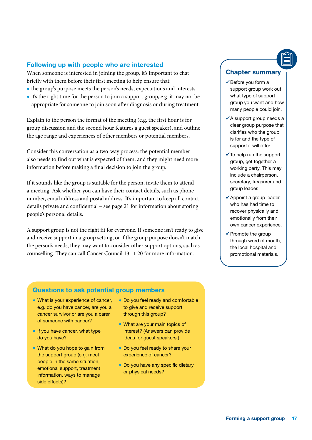#### Following up with people who are interested

When someone is interested in joining the group, it's important to chat briefly with them before their first meeting to help ensure that:

- the group's purpose meets the person's needs, expectations and interests
- it's the right time for the person to join a support group, e.g. it may not be appropriate for someone to join soon after diagnosis or during treatment.

Explain to the person the format of the meeting (e.g. the first hour is for group discussion and the second hour features a guest speaker), and outline the age range and experiences of other members or potential members.

Consider this conversation as a two-way process: the potential member also needs to find out what is expected of them, and they might need more information before making a final decision to join the group.

If it sounds like the group is suitable for the person, invite them to attend a meeting. Ask whether you can have their contact details, such as phone number, email address and postal address. It's important to keep all contact details private and confidential – see page 21 for information about storing people's personal details.

A support group is not the right fit for everyone. If someone isn't ready to give and receive support in a group setting, or if the group purpose doesn't match the person's needs, they may want to consider other support options, such as counselling. They can call Cancer Council 13 11 20 for more information.

#### Chapter summary

- $\checkmark$  Before you form a support group work out what type of support group you want and how many people could join.
- $\checkmark$  A support group needs a clear group purpose that clarifies who the group is for and the type of support it will offer.
- $\checkmark$  To help run the support group, get together a working party. This may include a chairperson, secretary, treasurer and group leader.
- $\checkmark$  Appoint a group leader who has had time to recover physically and emotionally from their own cancer experience.
- $\checkmark$  Promote the group through word of mouth, the local hospital and promotional materials.

#### Questions to ask potential group members

- What is your experience of cancer, e.g. do you have cancer, are you a cancer survivor or are you a carer of someone with cancer?
- If you have cancer, what type do you have?
- What do you hope to gain from the support group (e.g. meet people in the same situation, emotional support, treatment information, ways to manage side effects)?
- Do you feel ready and comfortable to give and receive support through this group?
- What are your main topics of interest? (Answers can provide ideas for guest speakers.)
- Do you feel ready to share your experience of cancer?
- Do you have any specific dietary or physical needs?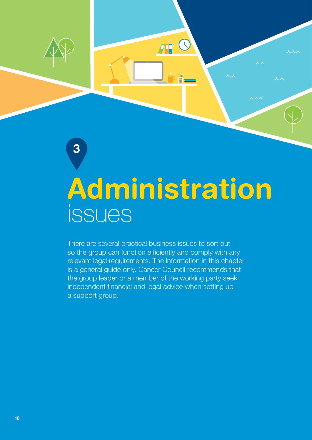

 $\sqrt{10}$ 

3

There are several practical business issues to sort out so the group can function efficiently and comply with any relevant legal requirements. The information in this chapter is a general guide only. Cancer Council recommends that the group leader or a member of the working party seek independent financial and legal advice when setting up a support group.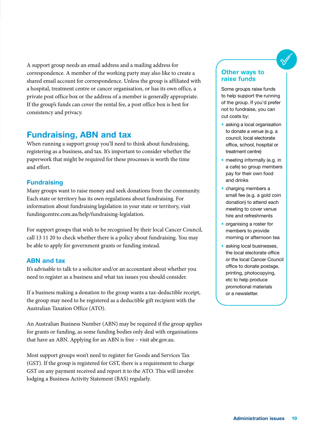A support group needs an email address and a mailing address for correspondence. A member of the working party may also like to create a shared email account for correspondence. Unless the group is affiliated with a hospital, treatment centre or cancer organisation, or has its own office, a private post office box or the address of a member is generally appropriate. If the group's funds can cover the rental fee, a post office box is best for consistency and privacy.

## Fundraising, ABN and tax

When running a support group you'll need to think about fundraising, registering as a business, and tax. It's important to consider whether the paperwork that might be required for these processes is worth the time and effort.

#### <span id="page-20-0"></span>**Fundraising**

Many groups want to raise money and seek donations from the community. Each state or territory has its own regulations about fundraising. For information about fundraising legislation in your state or territory, visit [fundingcentre.com.au/help/fundraising-legislation](http://fundingcentre.com.au/help/fundraising-legislation).

For support groups that wish to be recognised by their local Cancer Council, call 13 11 20 to check whether there is a policy about fundraising. You may be able to apply for government grants or funding instead.

#### ABN and tax

It's advisable to talk to a solicitor and/or an accountant about whether you need to register as a business and what tax issues you should consider.

If a business making a donation to the group wants a tax-deductible receipt, the group may need to be registered as a deductible gift recipient with the Australian Taxation Office (ATO).

An Australian Business Number (ABN) may be required if the group applies for grants or funding, as some funding bodies only deal with organisations that have an ABN. Applying for an ABN is free – visit [abr.gov.au](http://abr.gov.au).

Most support groups won't need to register for Goods and Services Tax (GST). If the group is registered for GST, there is a requirement to charge GST on any payment received and report it to the ATO. This will involve lodging a Business Activity Statement (BAS) regularly.

#### Other ways to raise funds

Some groups raise funds to help support the running of the group. If you'd prefer not to fundraise, you can cut costs by:

- asking a local organisation to donate a venue (e.g. a council, local electorate office, school, hospital or treatment centre)
- meeting informally (e.g. in a cafe) so group members pay for their own food and drinks
- charging members a small fee (e.g. a gold coin donation) to attend each meeting to cover venue hire and refreshments
- organising a roster for members to provide morning or afternoon tea
- asking local businesses, the local electorate office or the local Cancer Council office to donate postage, printing, photocopying, etc to help produce promotional materials or a newsletter.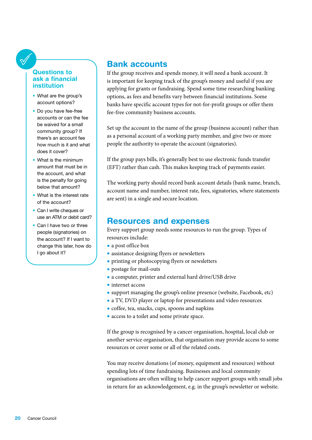#### Questions to ask a financial institution

- What are the group's account options?
- Do you have fee-free accounts or can the fee be waived for a small community group? If there's an account fee how much is it and what does it cover?
- What is the minimum amount that must be in the account, and what is the penalty for going below that amount?
- What is the interest rate of the account?
- Can I write cheques or use an ATM or debit card?
- Can I have two or three people (signatories) on the account? If I want to change this later, how do I go about it?

## Bank accounts

If the group receives and spends money, it will need a bank account. It is important for keeping track of the group's money and useful if you are applying for grants or fundraising. Spend some time researching banking options, as fees and benefits vary between financial institutions. Some banks have specific account types for not-for-profit groups or offer them fee-free community business accounts.

Set up the account in the name of the group (business account) rather than as a personal account of a working party member, and give two or more people the authority to operate the account (signatories).

If the group pays bills, it's generally best to use electronic funds transfer (EFT) rather than cash. This makes keeping track of payments easier.

The working party should record bank account details (bank name, branch, account name and number, interest rate, fees, signatories, where statements are sent) in a single and secure location.

## Resources and expenses

Every support group needs some resources to run the group. Types of resources include:

- a post office box
- assistance designing flyers or newsletters
- printing or photocopying flyers or newsletters
- postage for mail-outs
- a computer, printer and external hard drive/USB drive
- internet access
- support managing the group's online presence (website, Facebook, etc)
- a TV, DVD player or laptop for presentations and video resources
- coffee, tea, snacks, cups, spoons and napkins
- access to a toilet and some private space.

If the group is recognised by a cancer organisation, hospital, local club or another service organisation, that organisation may provide access to some resources or cover some or all of the related costs.

You may receive donations (of money, equipment and resources) without spending lots of time fundraising. Businesses and local community organisations are often willing to help cancer support groups with small jobs in return for an acknowledgement, e.g. in the group's newsletter or website.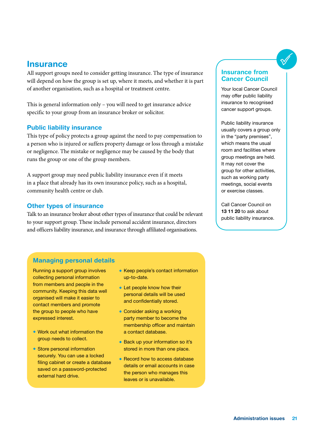### **Insurance**

All support groups need to consider getting insurance. The type of insurance will depend on how the group is set up, where it meets, and whether it is part of another organisation, such as a hospital or treatment centre.

This is general information only – you will need to get insurance advice specific to your group from an insurance broker or solicitor.

#### Public liability insurance

This type of policy protects a group against the need to pay compensation to a person who is injured or suffers property damage or loss through a mistake or negligence. The mistake or negligence may be caused by the body that runs the group or one of the group members.

A support group may need public liability insurance even if it meets in a place that already has its own insurance policy, such as a hospital, community health centre or club.

#### Other types of insurance

Talk to an insurance broker about other types of insurance that could be relevant to your support group. These include personal accident insurance, directors and officers liability insurance, and insurance through affiliated organisations.

#### Insurance from Cancer Council

Your local Cancer Council may offer public liability insurance to recognised cancer support groups.

Public liability insurance usually covers a group only in the "party premises", which means the usual room and facilities where group meetings are held. It may not cover the group for other activities, such as working party meetings, social events or exercise classes.

Call Cancer Council on 13 11 20 to ask about public liability insurance.

#### Managing personal details

Running a support group involves collecting personal information from members and people in the community. Keeping this data well organised will make it easier to contact members and promote the group to people who have expressed interest.

- Work out what information the group needs to collect.
- Store personal information securely. You can use a locked filing cabinet or create a database saved on a password-protected external hard drive.
- Keep people's contact information up-to-date.
- Let people know how their personal details will be used and confidentially stored.
- Consider asking a working party member to become the membership officer and maintain a contact database.
- Back up your information so it's stored in more than one place.
- Record how to access database details or email accounts in case the person who manages this leaves or is unavailable.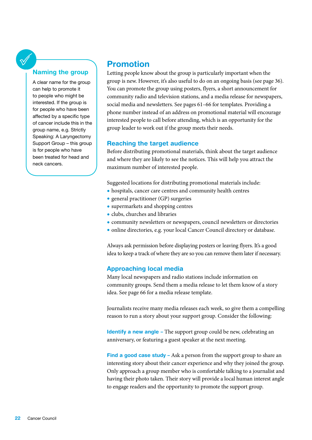#### Naming the group

A clear name for the group can help to promote it to people who might be interested. If the group is for people who have been affected by a specific type of cancer include this in the group name, e.g. Strictly Speaking: A Laryngectomy Support Group – this group is for people who have been treated for head and neck cancers.

### Promotion

Letting people know about the group is particularly important when the group is new. However, it's also useful to do on an ongoing basis (see page 36). You can promote the group using posters, flyers, a short announcement for community radio and television stations, and a media release for newspapers, social media and newsletters. See pages 61–66 for templates. Providing a phone number instead of an address on promotional material will encourage interested people to call before attending, which is an opportunity for the group leader to work out if the group meets their needs.

#### Reaching the target audience

Before distributing promotional materials, think about the target audience and where they are likely to see the notices. This will help you attract the maximum number of interested people.

Suggested locations for distributing promotional materials include:

- hospitals, cancer care centres and community health centres
- general practitioner (GP) surgeries
- supermarkets and shopping centres
- clubs, churches and libraries
- community newsletters or newspapers, council newsletters or directories
- online directories, e.g. your local Cancer Council directory or database.

Always ask permission before displaying posters or leaving flyers. It's a good idea to keep a track of where they are so you can remove them later if necessary.

#### Approaching local media

Many local newspapers and radio stations include information on community groups. Send them a media release to let them know of a story idea. See page 66 for a media release template.

Journalists receive many media releases each week, so give them a compelling reason to run a story about your support group. Consider the following:

Identify a new angle - The support group could be new, celebrating an anniversary, or featuring a guest speaker at the next meeting.

Find a good case study – Ask a person from the support group to share an interesting story about their cancer experience and why they joined the group. Only approach a group member who is comfortable talking to a journalist and having their photo taken. Their story will provide a local human interest angle to engage readers and the opportunity to promote the support group.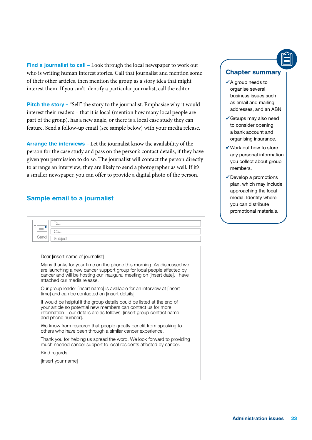Find a journalist to call - Look through the local newspaper to work out who is writing human interest stories. Call that journalist and mention some of their other articles, then mention the group as a story idea that might interest them. If you can't identify a particular journalist, call the editor.

Pitch the story – "Sell" the story to the journalist. Emphasise why it would interest their readers – that it is local (mention how many local people are part of the group), has a new angle, or there is a local case study they can feature. Send a follow-up email (see sample below) with your media release.

Arrange the interviews – Let the journalist know the availability of the person for the case study and pass on the person's contact details, if they have given you permission to do so. The journalist will contact the person directly to arrange an interview; they are likely to send a photographer as well. If it's a smaller newspaper, you can offer to provide a digital photo of the person.

#### Sample email to a journalist

| To<br>Cc<br>Send<br>Subject                                                                                                                                                                                                                               |  |  |  |
|-----------------------------------------------------------------------------------------------------------------------------------------------------------------------------------------------------------------------------------------------------------|--|--|--|
| Dear linsert name of journalist]                                                                                                                                                                                                                          |  |  |  |
| Many thanks for your time on the phone this morning. As discussed we<br>are launching a new cancer support group for local people affected by<br>cancer and will be hosting our inaugural meeting on [insert date]. I have<br>attached our media release. |  |  |  |
| Our group leader [insert name] is available for an interview at [insert]<br>time] and can be contacted on [insert details].                                                                                                                               |  |  |  |
| It would be helpful if the group details could be listed at the end of<br>your article so potential new members can contact us for more<br>information – our details are as follows: [insert group contact name<br>and phone number.                      |  |  |  |
| We know from research that people greatly benefit from speaking to<br>others who have been through a similar cancer experience.                                                                                                                           |  |  |  |
| Thank you for helping us spread the word. We look forward to providing<br>much needed cancer support to local residents affected by cancer.                                                                                                               |  |  |  |
| Kind regards,                                                                                                                                                                                                                                             |  |  |  |
| [insert your name]                                                                                                                                                                                                                                        |  |  |  |
|                                                                                                                                                                                                                                                           |  |  |  |
|                                                                                                                                                                                                                                                           |  |  |  |

#### Chapter summary

- $\checkmark$  A group needs to organise several business issues such as email and mailing addresses, and an ABN.
- Groups may also need to consider opening a bank account and organising insurance.
- Work out how to store any personal information you collect about group members.
- $\checkmark$  Develop a promotions plan, which may include approaching the local media. Identify where you can distribute promotional materials.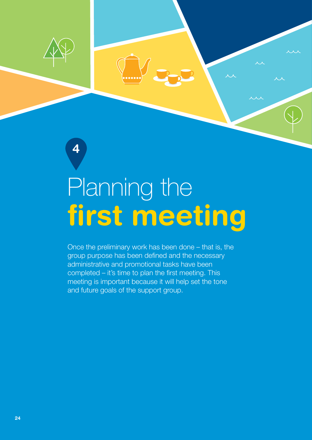

4

# first meeting Planning the

Once the preliminary work has been done – that is, the group purpose has been defined and the necessary administrative and promotional tasks have been completed – it's time to plan the first meeting. This meeting is important because it will help set the tone and future goals of the support group.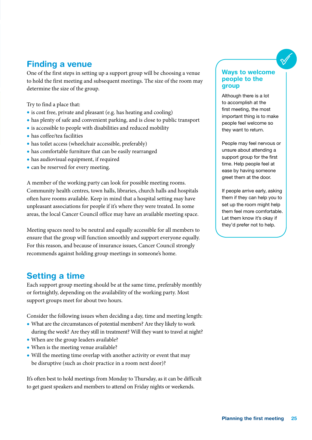## Finding a venue

One of the first steps in setting up a support group will be choosing a venue to hold the first meeting and subsequent meetings. The size of the room may determine the size of the group.

Try to find a place that:

- is cost free, private and pleasant (e.g. has heating and cooling)
- has plenty of safe and convenient parking, and is close to public transport
- is accessible to people with disabilities and reduced mobility
- has coffee/tea facilities
- has toilet access (wheelchair accessible, preferably)
- has comfortable furniture that can be easily rearranged
- has audiovisual equipment, if required
- can be reserved for every meeting.

<span id="page-26-0"></span>A member of the working party can look for possible meeting rooms. Community health centres, town halls, libraries, church halls and hospitals often have rooms available. Keep in mind that a hospital setting may have unpleasant associations for people if it's where they were treated. In some areas, the local Cancer Council office may have an available meeting space.

Meeting spaces need to be neutral and equally accessible for all members to ensure that the group will function smoothly and support everyone equally. For this reason, and because of insurance issues, Cancer Council strongly recommends against holding group meetings in someone's home.

## Setting a time

Each support group meeting should be at the same time, preferably monthly or fortnightly, depending on the availability of the working party. Most support groups meet for about two hours.

Consider the following issues when deciding a day, time and meeting length:

- What are the circumstances of potential members? Are they likely to work during the week? Are they still in treatment? Will they want to travel at night?
- When are the group leaders available?
- When is the meeting venue available?
- Will the meeting time overlap with another activity or event that may be disruptive (such as choir practice in a room next door)?

It's often best to hold meetings from Monday to Thursday, as it can be difficult to get guest speakers and members to attend on Friday nights or weekends.

#### Ways to welcome people to the group

Although there is a lot to accomplish at the first meeting, the most important thing is to make people feel welcome so they want to return.

People may feel nervous or unsure about attending a support group for the first time. Help people feel at ease by having someone greet them at the door.

If people arrive early, asking them if they can help you to set up the room might help them feel more comfortable. Let them know it's okay if they'd prefer not to help.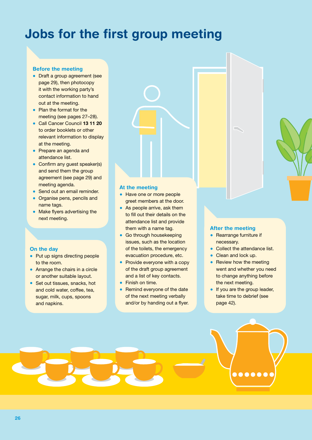## Jobs for the first group meeting

#### Before the meeting

- Draft a group agreement (see page 29), then photocopy it with the working party's contact information to hand out at the meeting.
- Plan the format for the meeting (see pages 27–28).
- Call Cancer Council 13 11 20 to order booklets or other relevant information to display at the meeting.
- Prepare an agenda and attendance list.
- Confirm any quest speaker(s) and send them the group agreement (see page 29) and meeting agenda.
- Send out an email reminder.
- Organise pens, pencils and name tags.
- Make flyers advertising the next meeting.

#### On the day

- Put up signs directing people to the room.
- Arrange the chairs in a circle or another suitable layout.
- Set out tissues, snacks, hot and cold water, coffee, tea, sugar, milk, cups, spoons and napkins.

#### At the meeting

- Have one or more people greet members at the door.
- As people arrive, ask them to fill out their details on the attendance list and provide them with a name tag.
- Go through housekeeping issues, such as the location of the toilets, the emergency evacuation procedure, etc.
- Provide everyone with a copy of the draft group agreement and a list of key contacts.
- Finish on time.
- Remind everyone of the date of the next meeting verbally and/or by handing out a flyer.

#### After the meeting

- Rearrange furniture if necessary.
- Collect the attendance list.
- Clean and lock up.
- Review how the meeting went and whether you need to change anything before the next meeting.
- If you are the group leader, take time to debrief (see page 42).

.....

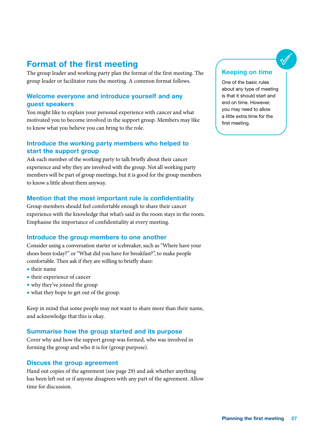## Format of the first meeting

The group leader and working party plan the format of the first meeting. The group leader or facilitator runs the meeting. A common format follows.

#### Welcome everyone and introduce yourself and any guest speakers

You might like to explain your personal experience with cancer and what motivated you to become involved in the support group. Members may like to know what you believe you can bring to the role.

#### Introduce the working party members who helped to start the support group

Ask each member of the working party to talk briefly about their cancer experience and why they are involved with the group. Not all working party members will be part of group meetings, but it is good for the group members to know a little about them anyway.

#### Mention that the most important rule is confidentiality

Group members should feel comfortable enough to share their cancer experience with the knowledge that what's said in the room stays in the room. Emphasise the importance of confidentiality at every meeting.

#### Introduce the group members to one another

Consider using a conversation starter or icebreaker, such as "Where have your shoes been today?" or "What did you have for breakfast?", to make people comfortable. Then ask if they are willing to briefly share:

- their name
- their experience of cancer
- why they've joined the group
- what they hope to get out of the group.

Keep in mind that some people may not want to share more than their name, and acknowledge that this is okay.

#### Summarise how the group started and its purpose

Cover why and how the support group was formed, who was involved in forming the group and who it is for (group purpose).

#### Discuss the group agreement

Hand out copies of the agreement (see page 29) and ask whether anything has been left out or if anyone disagrees with any part of the agreement. Allow time for discussion.

#### Keeping on time

One of the basic rules about any type of meeting is that it should start and end on time. However, you may need to allow a little extra time for the first meeting.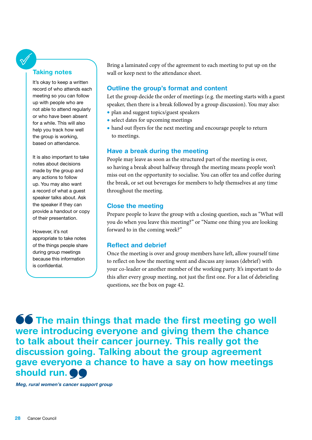#### Taking notes

It's okay to keep a written record of who attends each meeting so you can follow up with people who are not able to attend regularly or who have been absent for a while. This will also help you track how well the group is working, based on attendance.

It is also important to take notes about decisions made by the group and any actions to follow up. You may also want a record of what a guest speaker talks about. Ask the speaker if they can provide a handout or copy of their presentation.

However, it's not appropriate to take notes of the things people share during group meetings because this information is confidential.

Bring a laminated copy of the agreement to each meeting to put up on the wall or keep next to the attendance sheet.

#### Outline the group's format and content

Let the group decide the order of meetings (e.g. the meeting starts with a guest speaker, then there is a break followed by a group discussion). You may also:

- plan and suggest topics/guest speakers
- select dates for upcoming meetings
- hand out flyers for the next meeting and encourage people to return to meetings.

#### Have a break during the meeting

People may leave as soon as the structured part of the meeting is over, so having a break about halfway through the meeting means people won't miss out on the opportunity to socialise. You can offer tea and coffee during the break, or set out beverages for members to help themselves at any time throughout the meeting.

#### Close the meeting

Prepare people to leave the group with a closing question, such as "What will you do when you leave this meeting?" or "Name one thing you are looking forward to in the coming week?"

#### Reflect and debrief

Once the meeting is over and group members have left, allow yourself time to reflect on how the meeting went and discuss any issues (debrief) with your co-leader or another member of the working party. It's important to do this after every group meeting, not just the first one. For a list of debriefing questions, see the box on page 42.

**66** The main things that made the first meeting go well were introducing everyone and giving them the chance to talk about their cancer journey. This really got the discussion going. Talking about the group agreement gave everyone a chance to have a say on how meetings should run.  $\bullet$ 

Meg, rural women's cancer support group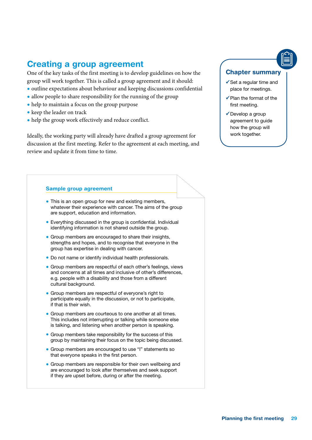## Creating a group agreement

One of the key tasks of the first meeting is to develop guidelines on how the group will work together. This is called a group agreement and it should:

- outline expectations about behaviour and keeping discussions confidential
- allow people to share responsibility for the running of the group
- help to maintain a focus on the group purpose
- keep the leader on track
- help the group work effectively and reduce conflict.

Ideally, the working party will already have drafted a group agreement for discussion at the first meeting. Refer to the agreement at each meeting, and review and update it from time to time.

#### Chapter summary

- $\checkmark$  Set a regular time and place for meetings.
- $\checkmark$  Plan the format of the first meeting.
- Develop a group agreement to guide how the group will work together.

#### Sample group agreement

- This is an open group for new and existing members, whatever their experience with cancer. The aims of the group are support, education and information.
- Everything discussed in the group is confidential. Individual identifying information is not shared outside the group.
- Group members are encouraged to share their insights, strengths and hopes, and to recognise that everyone in the group has expertise in dealing with cancer.
- Do not name or identify individual health professionals.
- Group members are respectful of each other's feelings, views and concerns at all times and inclusive of other's differences, e.g. people with a disability and those from a different cultural background.
- Group members are respectful of everyone's right to participate equally in the discussion, or not to participate, if that is their wish.
- Group members are courteous to one another at all times. This includes not interrupting or talking while someone else is talking, and listening when another person is speaking.
- Group members take responsibility for the success of this group by maintaining their focus on the topic being discussed.
- Group members are encouraged to use "I" statements so that everyone speaks in the first person.
- Group members are responsible for their own wellbeing and are encouraged to look after themselves and seek support if they are upset before, during or after the meeting.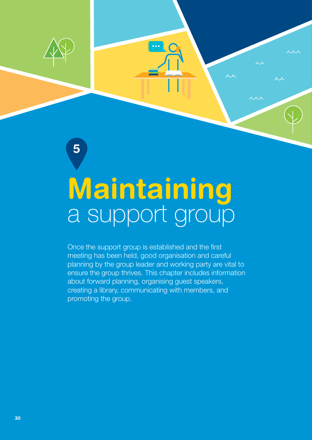

5

# a support group Maintaining

Maintaining a support group

Once the support group is established and the first meeting has been held, good organisation and careful planning by the group leader and working party are vital to ensure the group thrives. This chapter includes information about forward planning, organising guest speakers, creating a library, communicating with members, and promoting the group.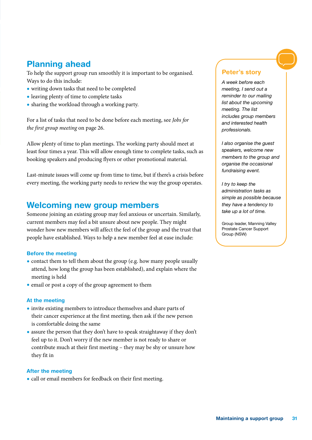## Planning ahead

To help the support group run smoothly it is important to be organised. Ways to do this include:

- writing down tasks that need to be completed
- leaving plenty of time to complete tasks
- sharing the workload through a working party.

For a list of tasks that need to be done before each meeting, see *Jobs for the first group meeting* on page 26.

Allow plenty of time to plan meetings. The working party should meet at least four times a year. This will allow enough time to complete tasks, such as booking speakers and producing flyers or other promotional material.

Last-minute issues will come up from time to time, but if there's a crisis before every meeting, the working party needs to review the way the group operates.

### <span id="page-32-0"></span>Welcoming new group members

Someone joining an existing group may feel anxious or uncertain. Similarly, current members may feel a bit unsure about new people. They might wonder how new members will affect the feel of the group and the trust that people have established. Ways to help a new member feel at ease include:

#### Before the meeting

- contact them to tell them about the group (e.g. how many people usually attend, how long the group has been established), and explain where the meeting is held
- email or post a copy of the group agreement to them

#### At the meeting

- invite existing members to introduce themselves and share parts of their cancer experience at the first meeting, then ask if the new person is comfortable doing the same
- assure the person that they don't have to speak straightaway if they don't feel up to it. Don't worry if the new member is not ready to share or contribute much at their first meeting – they may be shy or unsure how they fit in

#### After the meeting

• call or email members for feedback on their first meeting.

#### Peter's story

*A week before each meeting, I send out a reminder to our mailing list about the upcoming meeting. The list includes group members and interested health professionals.*

*I also organise the guest speakers, welcome new members to the group and organise the occasional fundraising event.*

*I try to keep the administration tasks as simple as possible because they have a tendency to take up a lot of time.*

Group leader, Manning Valley Prostate Cancer Support Group (NSW)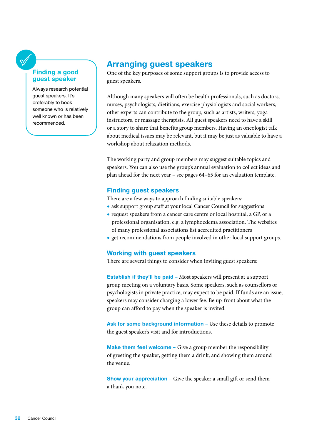#### Finding a good guest speaker

Always research potential guest speakers. It's preferably to book someone who is relatively well known or has been recommended.

## Arranging guest speakers

One of the key purposes of some support groups is to provide access to guest speakers.

Although many speakers will often be health professionals, such as doctors, nurses, psychologists, dietitians, exercise physiologists and social workers, other experts can contribute to the group, such as artists, writers, yoga instructors, or massage therapists. All guest speakers need to have a skill or a story to share that benefits group members. Having an oncologist talk about medical issues may be relevant, but it may be just as valuable to have a workshop about relaxation methods.

The working party and group members may suggest suitable topics and speakers. You can also use the group's annual evaluation to collect ideas and plan ahead for the next year – see pages 64–65 for an evaluation template.

#### Finding guest speakers

There are a few ways to approach finding suitable speakers:

- ask support group staff at your local Cancer Council for suggestions
- request speakers from a cancer care centre or local hospital, a GP, or a professional organisation, e.g. a lymphoedema association. The websites of many professional associations list accredited practitioners
- get recommendations from people involved in other local support groups.

#### Working with guest speakers

There are several things to consider when inviting guest speakers:

Establish if they'll be paid – Most speakers will present at a support group meeting on a voluntary basis. Some speakers, such as counsellors or psychologists in private practice, may expect to be paid. If funds are an issue, speakers may consider charging a lower fee. Be up-front about what the group can afford to pay when the speaker is invited.

Ask for some background information - Use these details to promote the guest speaker's visit and for introductions.

Make them feel welcome – Give a group member the responsibility of greeting the speaker, getting them a drink, and showing them around the venue.

Show your appreciation – Give the speaker a small gift or send them a thank you note.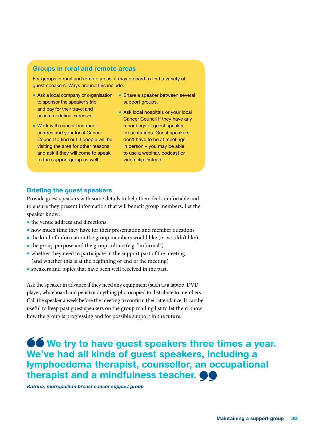#### Groups in rural and remote areas

For groups in rural and remote areas, it may be hard to find a variety of guest speakers. Ways around this include:

- Ask a local company or organisation Share a speaker between several to sponsor the speaker's trip and pay for their travel and accommodation expenses.
- Work with cancer treatment centres and your local Cancer Council to find out if people will be visiting the area for other reasons, and ask if they will come to speak to the support group as well.
- support groups.
- Ask local hospitals or your local Cancer Council if they have any recordings of guest speaker presentations. Guest speakers don't have to be at meetings in person – you may be able to use a webinar, podcast or video clip instead.

#### Briefing the guest speakers

Provide guest speakers with some details to help them feel comfortable and to ensure they present information that will benefit group members. Let the speaker know:

- the venue address and directions
- how much time they have for their presentation and member questions
- the kind of information the group members would like (or wouldn't like)
- the group purpose and the group culture (e.g. "informal")
- whether they need to participate in the support part of the meeting (and whether this is at the beginning or end of the meeting)
- speakers and topics that have been well received in the past.

Ask the speaker in advance if they need any equipment (such as a laptop, DVD player, whiteboard and pens) or anything photocopied to distribute to members. Call the speaker a week before the meeting to confirm their attendance. It can be useful to keep past guest speakers on the group mailing list to let them know how the group is progressing and for possible support in the future.

## **66** We try to have guest speakers three times a year. We've had all kinds of guest speakers, including a lymphoedema therapist, counsellor, an occupational therapist and a mindfulness teacher.  $\bullet\bullet$

Katrina, metropolitan breast cancer support group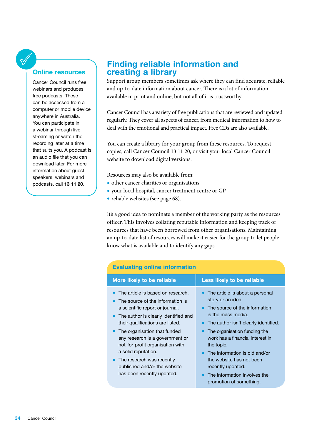#### Online resources

Cancer Council runs free webinars and produces free podcasts. These can be accessed from a computer or mobile device anywhere in Australia. You can participate in a webinar through live streaming or watch the recording later at a time that suits you. A podcast is an audio file that you can download later. For more information about guest speakers, webinars and podcasts, call 13 11 20.

### Finding reliable information and creating a library

Support group members sometimes ask where they can find accurate, reliable and up-to-date information about cancer. There is a lot of information available in print and online, but not all of it is trustworthy.

Cancer Council has a variety of free publications that are reviewed and updated regularly. They cover all aspects of cancer, from medical information to how to deal with the emotional and practical impact. Free CDs are also available.

You can create a library for your group from these resources. To request copies, call Cancer Council 13 11 20, or visit your local Cancer Council website to download digital versions.

Resources may also be available from:

- other cancer charities or organisations
- your local hospital, cancer treatment centre or GP
- reliable websites (see page 68).

It's a good idea to nominate a member of the working party as the resources officer. This involves collating reputable information and keeping track of resources that have been borrowed from other organisations. Maintaining an up-to-date list of resources will make it easier for the group to let people know what is available and to identify any gaps.

| <b>Evaluating online information</b>                                                                                                                                                                                                                                                                                                                                                                              |                                                                                                                                                                                                                                                                                                                                                                                    |  |  |
|-------------------------------------------------------------------------------------------------------------------------------------------------------------------------------------------------------------------------------------------------------------------------------------------------------------------------------------------------------------------------------------------------------------------|------------------------------------------------------------------------------------------------------------------------------------------------------------------------------------------------------------------------------------------------------------------------------------------------------------------------------------------------------------------------------------|--|--|
| More likely to be reliable                                                                                                                                                                                                                                                                                                                                                                                        | Less likely to be reliable                                                                                                                                                                                                                                                                                                                                                         |  |  |
| The article is based on research.<br>The source of the information is<br>a scientific report or journal.<br>• The author is clearly identified and<br>their qualifications are listed.<br>• The organisation that funded<br>any research is a government or<br>not-for-profit organisation with<br>a solid reputation.<br>The research was recently<br>published and/or the website<br>has been recently updated. | • The article is about a personal<br>story or an idea.<br>• The source of the information<br>is the mass media.<br>The author isn't clearly identified.<br>The organisation funding the<br>$\bullet$<br>work has a financial interest in<br>the topic.<br>$\bullet$ The information is old and/or<br>the website has not been<br>recently updated.<br>The information involves the |  |  |
|                                                                                                                                                                                                                                                                                                                                                                                                                   | promotion of something.                                                                                                                                                                                                                                                                                                                                                            |  |  |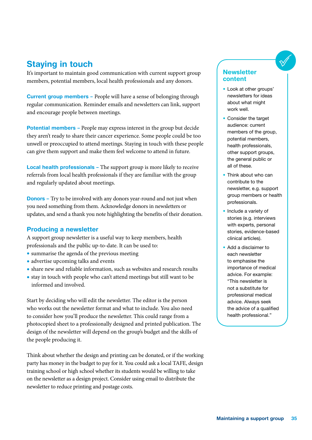## Staying in touch

It's important to maintain good communication with current support group members, potential members, local health professionals and any donors.

**Current group members – People will have a sense of belonging through** regular communication. Reminder emails and newsletters can link, support and encourage people between meetings.

Potential members – People may express interest in the group but decide they aren't ready to share their cancer experience. Some people could be too unwell or preoccupied to attend meetings. Staying in touch with these people can give them support and make them feel welcome to attend in future.

Local health professionals – The support group is more likely to receive referrals from local health professionals if they are familiar with the group and regularly updated about meetings.

**Donors** – Try to be involved with any donors year-round and not just when you need something from them. Acknowledge donors in newsletters or updates, and send a thank you note highlighting the benefits of their donation.

#### Producing a newsletter

A support group newsletter is a useful way to keep members, health professionals and the public up-to-date. It can be used to:

- summarise the agenda of the previous meeting
- advertise upcoming talks and events
- share new and reliable information, such as websites and research results
- stay in touch with people who can't attend meetings but still want to be informed and involved.

Start by deciding who will edit the newsletter. The editor is the person who works out the newsletter format and what to include. You also need to consider how you'll produce the newsletter. This could range from a photocopied sheet to a professionally designed and printed publication. The design of the newsletter will depend on the group's budget and the skills of the people producing it.

Think about whether the design and printing can be donated, or if the working party has money in the budget to pay for it. You could ask a local TAFE, design training school or high school whether its students would be willing to take on the newsletter as a design project. Consider using email to distribute the newsletter to reduce printing and postage costs.

#### **Newsletter** content

- Look at other groups' newsletters for ideas about what might work well.
- Consider the target audience: current members of the group, potential members, health professionals, other support groups, the general public or all of these.
- Think about who can contribute to the newsletter, e.g. support group members or health professionals.
- Include a variety of stories (e.g. interviews with experts, personal stories, evidence-based clinical articles).
- Add a disclaimer to each newsletter to emphasise the importance of medical advice. For example: "This newsletter is not a substitute for professional medical advice. Always seek the advice of a qualified health professional."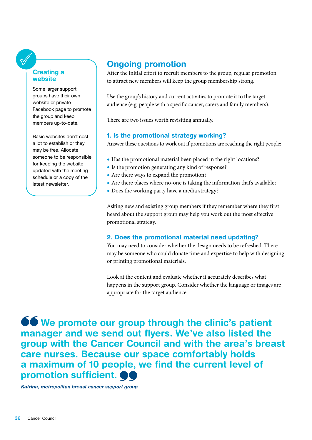## Creating a website

Some larger support groups have their own website or private Facebook page to promote the group and keep members up-to-date.

Basic websites don't cost a lot to establish or they may be free. Allocate someone to be responsible for keeping the website updated with the meeting schedule or a copy of the latest newsletter.

## Ongoing promotion

After the initial effort to recruit members to the group, regular promotion to attract new members will keep the group membership strong.

Use the group's history and current activities to promote it to the target audience (e.g. people with a specific cancer, carers and family members).

There are two issues worth revisiting annually.

## 1. Is the promotional strategy working?

Answer these questions to work out if promotions are reaching the right people:

- Has the promotional material been placed in the right locations?
- Is the promotion generating any kind of response?
- Are there ways to expand the promotion?
- Are there places where no-one is taking the information that's available?
- Does the working party have a media strategy?

Asking new and existing group members if they remember where they first heard about the support group may help you work out the most effective promotional strategy.

## 2. Does the promotional material need updating?

You may need to consider whether the design needs to be refreshed. There may be someone who could donate time and expertise to help with designing or printing promotional materials.

Look at the content and evaluate whether it accurately describes what happens in the support group. Consider whether the language or images are appropriate for the target audience.

**66** We promote our group through the clinic's patient manager and we send out flyers. We've also listed the group with the Cancer Council and with the area's breast care nurses. Because our space comfortably holds a maximum of 10 people, we find the current level of promotion sufficient.  $\bullet$ 

Katrina, metropolitan breast cancer support group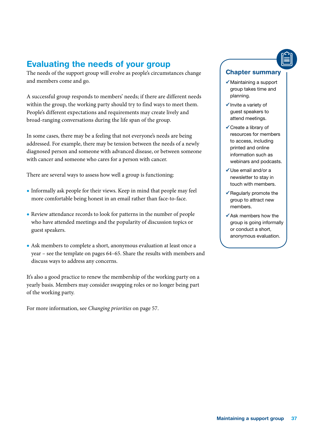## Evaluating the needs of your group

The needs of the support group will evolve as people's circumstances change and members come and go.

A successful group responds to members' needs; if there are different needs within the group, the working party should try to find ways to meet them. People's different expectations and requirements may create lively and broad-ranging conversations during the life span of the group.

In some cases, there may be a feeling that not everyone's needs are being addressed. For example, there may be tension between the needs of a newly diagnosed person and someone with advanced disease, or between someone with cancer and someone who cares for a person with cancer.

There are several ways to assess how well a group is functioning:

- Informally ask people for their views. Keep in mind that people may feel more comfortable being honest in an email rather than face-to-face.
- Review attendance records to look for patterns in the number of people who have attended meetings and the popularity of discussion topics or guest speakers.
- Ask members to complete a short, anonymous evaluation at least once a year – see the template on pages 64–65. Share the results with members and discuss ways to address any concerns.

It's also a good practice to renew the membership of the working party on a yearly basis. Members may consider swapping roles or no longer being part of the working party.

For more information, see *Changing priorities* on page 57.

### Chapter summary

- $\checkmark$  Maintaining a support group takes time and planning.
- $\checkmark$  Invite a variety of guest speakers to attend meetings.
- Create a library of resources for members to access, including printed and online information such as webinars and podcasts.
- $\checkmark$  Use email and/or a newsletter to stay in touch with members.
- $\checkmark$  Regularly promote the group to attract new members.
- $\checkmark$  Ask members how the group is going informally or conduct a short, anonymous evaluation.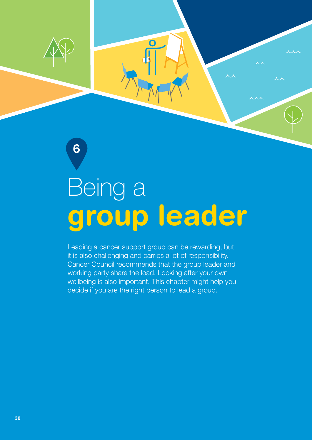

6

# group leader Being a

Leading a cancer support group can be rewarding, but it is also challenging and carries a lot of responsibility. Cancer Council recommends that the group leader and working party share the load. Looking after your own wellbeing is also important. This chapter might help you decide if you are the right person to lead a group.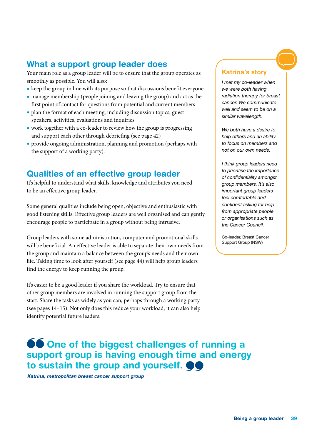## What a support group leader does

Your main role as a group leader will be to ensure that the group operates as smoothly as possible. You will also:

- keep the group in line with its purpose so that discussions benefit everyone
- manage membership (people joining and leaving the group) and act as the first point of contact for questions from potential and current members
- plan the format of each meeting, including discussion topics, guest speakers, activities, evaluations and inquiries
- work together with a co-leader to review how the group is progressing and support each other through debriefing (see page 42)
- provide ongoing administration, planning and promotion (perhaps with the support of a working party).

## Qualities of an effective group leader

It's helpful to understand what skills, knowledge and attributes you need to be an effective group leader.

Some general qualities include being open, objective and enthusiastic with good listening skills. Effective group leaders are well organised and can gently encourage people to participate in a group without being intrusive.

Group leaders with some administration, computer and promotional skills will be beneficial. An effective leader is able to separate their own needs from the group and maintain a balance between the group's needs and their own life. Taking time to look after yourself (see page 44) will help group leaders find the energy to keep running the group.

It's easier to be a good leader if you share the workload. Try to ensure that other group members are involved in running the support group from the start. Share the tasks as widely as you can, perhaps through a working party (see pages 14–15). Not only does this reduce your workload, it can also help identify potential future leaders.

#### Katrina's story

*I met my co-leader when we were both having radiation therapy for breast cancer. We communicate well and seem to be on a similar wavelength.*

*We both have a desire to help others and an ability to focus on members and not on our own needs.*

*I think group leaders need to prioritise the importance of confidentiality amongst group members. It's also important group leaders feel comfortable and confident asking for help from appropriate people or organisations such as the Cancer Council.* 

Co-leader, Breast Cancer Support Group (NSW)

## **66 One of the biggest challenges of running a** support group is having enough time and energy to sustain the group and yourself.

Katrina, metropolitan breast cancer support group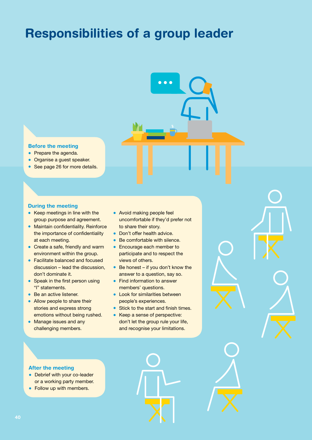## Responsibilities of a group leader

#### Before the meeting

- Prepare the agenda.
- Organise a guest speaker.
- See page 26 for more details.

#### During the meeting

- Keep meetings in line with the group purpose and agreement.
- Maintain confidentiality. Reinforce the importance of confidentiality at each meeting.
- Create a safe, friendly and warm environment within the group.
- Facilitate balanced and focused discussion – lead the discussion, don't dominate it.
- Speak in the first person using "I" statements.
- Be an active listener.
- Allow people to share their stories and express strong emotions without being rushed.
- Manage issues and any challenging members.
- Avoid making people feel uncomfortable if they'd prefer not to share their story.
- Don't offer health advice.
- Be comfortable with silence.
- Encourage each member to participate and to respect the views of others.
- Be honest if you don't know the answer to a question, say so.
- Find information to answer members' questions.
- Look for similarities between people's experiences.
- Stick to the start and finish times.
- Keep a sense of perspective: don't let the group rule your life, and recognise your limitations.

#### After the meeting

- Debrief with your co-leader or a working party member.
- Follow up with members.

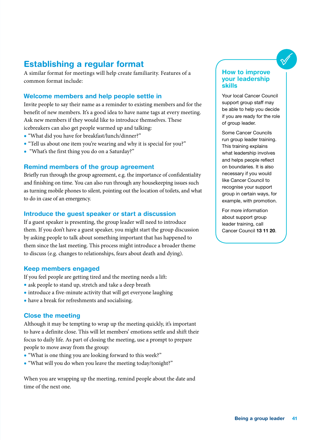## Establishing a regular format

A similar format for meetings will help create familiarity. Features of a common format include:

## Welcome members and help people settle in

Invite people to say their name as a reminder to existing members and for the benefit of new members. It's a good idea to have name tags at every meeting. Ask new members if they would like to introduce themselves. These icebreakers can also get people warmed up and talking:

- "What did you have for breakfast/lunch/dinner?"
- "Tell us about one item you're wearing and why it is special for you?"
- "What's the first thing you do on a Saturday?"

#### Remind members of the group agreement

Briefly run through the group agreement, e.g. the importance of confidentiality and finishing on time. You can also run through any housekeeping issues such as turning mobile phones to silent, pointing out the location of toilets, and what to do in case of an emergency.

#### Introduce the guest speaker or start a discussion

If a guest speaker is presenting, the group leader will need to introduce them. If you don't have a guest speaker, you might start the group discussion by asking people to talk about something important that has happened to them since the last meeting. This process might introduce a broader theme to discuss (e.g. changes to relationships, fears about death and dying).

#### Keep members engaged

If you feel people are getting tired and the meeting needs a lift:

- ask people to stand up, stretch and take a deep breath
- introduce a five-minute activity that will get everyone laughing
- have a break for refreshments and socialising.

#### Close the meeting

Although it may be tempting to wrap up the meeting quickly, it's important to have a definite close. This will let members' emotions settle and shift their focus to daily life. As part of closing the meeting, use a prompt to prepare people to move away from the group:

- "What is one thing you are looking forward to this week?"
- "What will you do when you leave the meeting today/tonight?"

When you are wrapping up the meeting, remind people about the date and time of the next one.

#### How to improve your leadership skills

Your local Cancer Council support group staff may be able to help you decide if you are ready for the role of group leader.

Some Cancer Councils run group leader training. This training explains what leadership involves and helps people reflect on boundaries. It is also necessary if you would like Cancer Council to recognise your support group in certain ways, for example, with promotion.

For more information about support group leader training, call Cancer Council 13 11 20.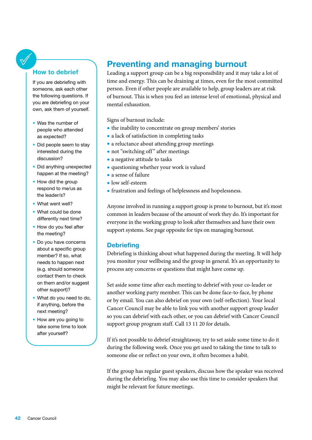#### How to debrief

If you are debriefing with someone, ask each other the following questions. If you are debriefing on your own, ask them of yourself.

- Was the number of people who attended as expected?
- Did people seem to stay interested during the discussion?
- Did anything unexpected happen at the meeting?
- How did the group respond to me/us as the leader/s?
- What went well?
- What could be done differently next time?
- How do you feel after the meeting?
- Do you have concerns about a specific group member? If so, what needs to happen next (e.g. should someone contact them to check on them and/or suggest other support)?
- What do you need to do, if anything, before the next meeting?
- How are you going to take some time to look after yourself?

## Preventing and managing burnout

Leading a support group can be a big responsibility and it may take a lot of time and energy. This can be draining at times, even for the most committed person. Even if other people are available to help, group leaders are at risk of burnout. This is when you feel an intense level of emotional, physical and mental exhaustion.

Signs of burnout include:

- the inability to concentrate on group members' stories
- a lack of satisfaction in completing tasks
- a reluctance about attending group meetings
- not "switching off" after meetings
- a negative attitude to tasks
- questioning whether your work is valued
- a sense of failure
- low self-esteem
- frustration and feelings of helplessness and hopelessness.

Anyone involved in running a support group is prone to burnout, but it's most common in leaders because of the amount of work they do. It's important for everyone in the working group to look after themselves and have their own support systems. See page opposite for tips on managing burnout.

## **Debriefing**

Debriefing is thinking about what happened during the meeting. It will help you monitor your wellbeing and the group in general. It's an opportunity to process any concerns or questions that might have come up.

Set aside some time after each meeting to debrief with your co-leader or another working party member. This can be done face-to-face, by phone or by email. You can also debrief on your own (self-reflection). Your local Cancer Council may be able to link you with another support group leader so you can debrief with each other, or you can debrief with Cancer Council support group program staff. Call 13 11 20 for details.

If it's not possible to debrief straightaway, try to set aside some time to do it during the following week. Once you get used to taking the time to talk to someone else or reflect on your own, it often becomes a habit.

If the group has regular guest speakers, discuss how the speaker was received during the debriefing. You may also use this time to consider speakers that might be relevant for future meetings.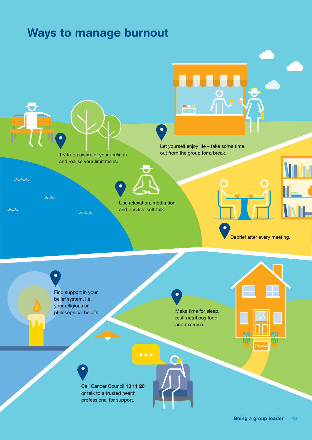## Ways to manage burnout

Try to be aware of your feelings and realise your limitations.

人人

<u>ri</u>

Let yourself enjoy life – take some time out from the group for a break.

Use relaxation, meditation and positive self-talk.

 $\bullet$   $\bullet$ 

Find support in your belief system, i.e. your religious or philosophical beliefs.

Make time for sleep, rest, nutritious food and exercise.

Call Cancer Council 13 11 20 or talk to a trusted health professional for support.

**Home**

Debrief after every meeting.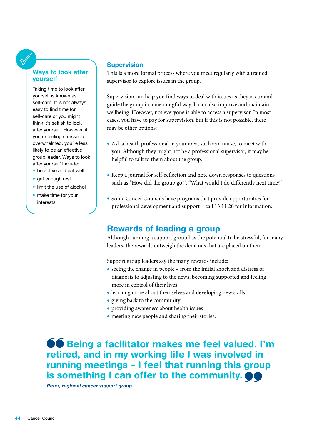## Ways to look after yourself

Taking time to look after yourself is known as self-care. It is not always easy to find time for self-care or you might think it's selfish to look after yourself. However, if you're feeling stressed or overwhelmed, you're less likely to be an effective group leader. Ways to look after yourself include:

- be active and eat well
- get enough rest
- limit the use of alcohol
- make time for your interests.

#### **Supervision**

This is a more formal process where you meet regularly with a trained supervisor to explore issues in the group.

Supervision can help you find ways to deal with issues as they occur and guide the group in a meaningful way. It can also improve and maintain wellbeing. However, not everyone is able to access a supervisor. In most cases, you have to pay for supervision, but if this is not possible, there may be other options:

- Ask a health professional in your area, such as a nurse, to meet with you. Although they might not be a professional supervisor, it may be helpful to talk to them about the group.
- Keep a journal for self-reflection and note down responses to questions such as "How did the group go?", "What would I do differently next time?"
- Some Cancer Councils have programs that provide opportunities for professional development and support – call 13 11 20 for information.

## Rewards of leading a group

Although running a support group has the potential to be stressful, for many leaders, the rewards outweigh the demands that are placed on them.

Support group leaders say the many rewards include:

- seeing the change in people from the initial shock and distress of diagnosis to adjusting to the news, becoming supported and feeling more in control of their lives
- learning more about themselves and developing new skills
- giving back to the community
- providing awareness about health issues
- meeting new people and sharing their stories.

**66** Being a facilitator makes me feel valued. I'm retired, and in my working life I was involved in running meetings – I feel that running this group is something I can offer to the community.  $\bullet\bullet$ 

Peter, regional cancer support group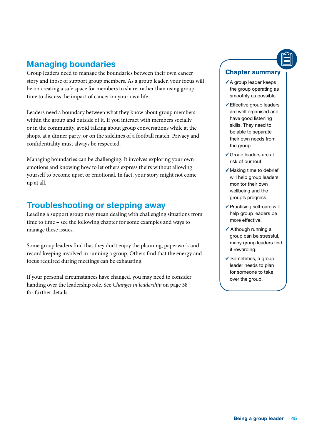## Managing boundaries

Group leaders need to manage the boundaries between their own cancer story and those of support group members. As a group leader, your focus will be on creating a safe space for members to share, rather than using group time to discuss the impact of cancer on your own life.

Leaders need a boundary between what they know about group members within the group and outside of it. If you interact with members socially or in the community, avoid talking about group conversations while at the shops, at a dinner party, or on the sidelines of a football match. Privacy and confidentiality must always be respected.

Managing boundaries can be challenging. It involves exploring your own emotions and knowing how to let others express theirs without allowing yourself to become upset or emotional. In fact, your story might not come up at all.

## Troubleshooting or stepping away

Leading a support group may mean dealing with challenging situations from time to time – see the following chapter for some examples and ways to manage these issues.

Some group leaders find that they don't enjoy the planning, paperwork and record keeping involved in running a group. Others find that the energy and focus required during meetings can be exhausting.

If your personal circumstances have changed, you may need to consider handing over the leadership role. See *Changes in leadership* on page 58 for further details.

### Chapter summary

- $\checkmark$  A group leader keeps the group operating as smoothly as possible.
- Effective group leaders are well organised and have good listening skills. They need to be able to separate their own needs from the group.
- Group leaders are at risk of burnout.
- $\checkmark$  Making time to debrief will help group leaders monitor their own wellbeing and the group's progress.
- $\checkmark$  Practising self-care will help group leaders be more effective.
- Although running a group can be stressful, many group leaders find it rewarding.
- $\checkmark$  Sometimes, a group leader needs to plan for someone to take over the group.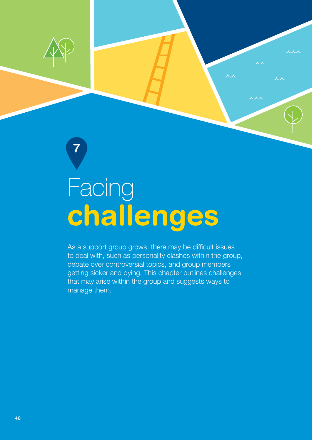

7

## challenges Facing

As a support group grows, there may be difficult issues to deal with, such as personality clashes within the group, debate over controversial topics, and group members getting sicker and dying. This chapter outlines challenges that may arise within the group and suggests ways to manage them.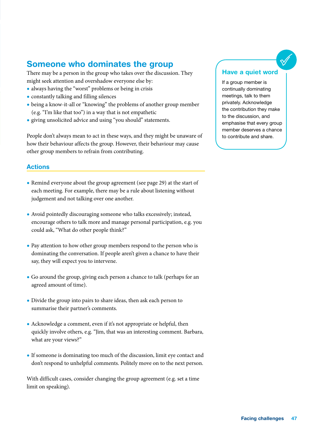## Someone who dominates the group

There may be a person in the group who takes over the discussion. They might seek attention and overshadow everyone else by:

- always having the "worst" problems or being in crisis
- constantly talking and filling silences
- being a know-it-all or "knowing" the problems of another group member (e.g. "I'm like that too") in a way that is not empathetic
- giving unsolicited advice and using "you should" statements.

People don't always mean to act in these ways, and they might be unaware of how their behaviour affects the group. However, their behaviour may cause other group members to refrain from contributing.

## Actions

- Remind everyone about the group agreement (see page 29) at the start of each meeting. For example, there may be a rule about listening without judgement and not talking over one another.
- Avoid pointedly discouraging someone who talks excessively; instead, encourage others to talk more and manage personal participation, e.g. you could ask, "What do other people think?"
- Pay attention to how other group members respond to the person who is dominating the conversation. If people aren't given a chance to have their say, they will expect you to intervene.
- Go around the group, giving each person a chance to talk (perhaps for an agreed amount of time).
- Divide the group into pairs to share ideas, then ask each person to summarise their partner's comments.
- Acknowledge a comment, even if it's not appropriate or helpful, then quickly involve others, e.g. "Jim, that was an interesting comment. Barbara, what are your views?"
- If someone is dominating too much of the discussion, limit eye contact and don't respond to unhelpful comments. Politely move on to the next person.

With difficult cases, consider changing the group agreement (e.g. set a time limit on speaking).

#### Have a quiet word

If a group member is continually dominating meetings, talk to them privately. Acknowledge the contribution they make to the discussion, and emphasise that every group member deserves a chance to contribute and share.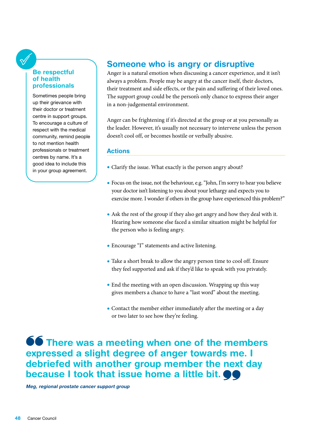#### Be respectful of health professionals

Sometimes people bring up their grievance with their doctor or treatment centre in support groups. To encourage a culture of respect with the medical community, remind people to not mention health professionals or treatment centres by name. It's a good idea to include this in your group agreement.

## Someone who is angry or disruptive

Anger is a natural emotion when discussing a cancer experience, and it isn't always a problem. People may be angry at the cancer itself, their doctors, their treatment and side effects, or the pain and suffering of their loved ones. The support group could be the person's only chance to express their anger in a non-judgemental environment.

Anger can be frightening if it's directed at the group or at you personally as the leader. However, it's usually not necessary to intervene unless the person doesn't cool off, or becomes hostile or verbally abusive.

## Actions

- Clarify the issue. What exactly is the person angry about?
- Focus on the issue, not the behaviour, e.g. "John, I'm sorry to hear you believe your doctor isn't listening to you about your lethargy and expects you to exercise more. I wonder if others in the group have experienced this problem?"
- Ask the rest of the group if they also get angry and how they deal with it. Hearing how someone else faced a similar situation might be helpful for the person who is feeling angry.
- Encourage "I" statements and active listening.
- Take a short break to allow the angry person time to cool off. Ensure they feel supported and ask if they'd like to speak with you privately.
- End the meeting with an open discussion. Wrapping up this way gives members a chance to have a "last word" about the meeting.
- Contact the member either immediately after the meeting or a day or two later to see how they're feeling.

**66** There was a meeting when one of the members expressed a slight degree of anger towards me. I debriefed with another group member the next day because I took that issue home a little bit.  $\bullet\bullet$ 

Meg, regional prostate cancer support group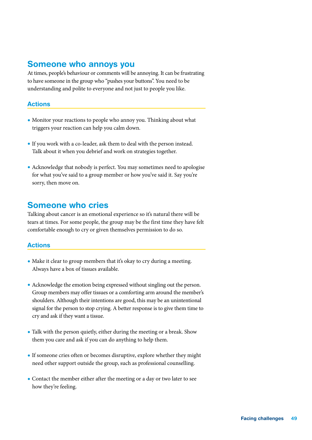## Someone who annoys you

At times, people's behaviour or comments will be annoying. It can be frustrating to have someone in the group who "pushes your buttons". You need to be understanding and polite to everyone and not just to people you like.

### Actions

- Monitor your reactions to people who annoy you. Thinking about what triggers your reaction can help you calm down.
- If you work with a co-leader, ask them to deal with the person instead. Talk about it when you debrief and work on strategies together.
- Acknowledge that nobody is perfect. You may sometimes need to apologise for what you've said to a group member or how you've said it. Say you're sorry, then move on.

## Someone who cries

Talking about cancer is an emotional experience so it's natural there will be tears at times. For some people, the group may be the first time they have felt comfortable enough to cry or given themselves permission to do so.

## Actions

- Make it clear to group members that it's okay to cry during a meeting. Always have a box of tissues available.
- Acknowledge the emotion being expressed without singling out the person. Group members may offer tissues or a comforting arm around the member's shoulders. Although their intentions are good, this may be an unintentional signal for the person to stop crying. A better response is to give them time to cry and ask if they want a tissue.
- Talk with the person quietly, either during the meeting or a break. Show them you care and ask if you can do anything to help them.
- If someone cries often or becomes disruptive, explore whether they might need other support outside the group, such as professional counselling.
- Contact the member either after the meeting or a day or two later to see how they're feeling.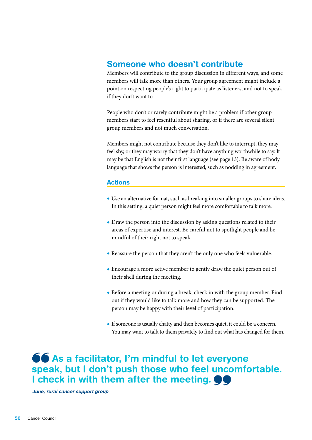## Someone who doesn't contribute

Members will contribute to the group discussion in different ways, and some members will talk more than others. Your group agreement might include a point on respecting people's right to participate as listeners, and not to speak if they don't want to.

People who don't or rarely contribute might be a problem if other group members start to feel resentful about sharing, or if there are several silent group members and not much conversation.

Members might not contribute because they don't like to interrupt, they may feel shy, or they may worry that they don't have anything worthwhile to say. It may be that English is not their first language (see page 13). Be aware of body language that shows the person is interested, such as nodding in agreement.

### Actions

- Use an alternative format, such as breaking into smaller groups to share ideas. In this setting, a quiet person might feel more comfortable to talk more.
- Draw the person into the discussion by asking questions related to their areas of expertise and interest. Be careful not to spotlight people and be mindful of their right not to speak.
- Reassure the person that they aren't the only one who feels vulnerable.
- Encourage a more active member to gently draw the quiet person out of their shell during the meeting.
- Before a meeting or during a break, check in with the group member. Find out if they would like to talk more and how they can be supported. The person may be happy with their level of participation.
- If someone is usually chatty and then becomes quiet, it could be a concern. You may want to talk to them privately to find out what has changed for them.

66 As a facilitator, I'm mindful to let everyone speak, but I don't push those who feel uncomfortable. I check in with them after the meeting.  $\bullet\bullet$ 

June, rural cancer support group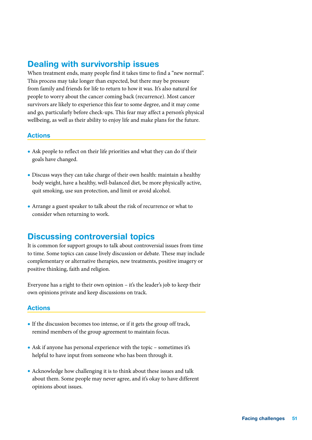## Dealing with survivorship issues

When treatment ends, many people find it takes time to find a "new normal". This process may take longer than expected, but there may be pressure from family and friends for life to return to how it was. It's also natural for people to worry about the cancer coming back (recurrence). Most cancer survivors are likely to experience this fear to some degree, and it may come and go, particularly before check-ups. This fear may affect a person's physical wellbeing, as well as their ability to enjoy life and make plans for the future.

#### Actions

- Ask people to reflect on their life priorities and what they can do if their goals have changed.
- Discuss ways they can take charge of their own health: maintain a healthy body weight, have a healthy, well-balanced diet, be more physically active, quit smoking, use sun protection, and limit or avoid alcohol.
- Arrange a guest speaker to talk about the risk of recurrence or what to consider when returning to work.

## Discussing controversial topics

It is common for support groups to talk about controversial issues from time to time. Some topics can cause lively discussion or debate. These may include complementary or alternative therapies, new treatments, positive imagery or positive thinking, faith and religion.

Everyone has a right to their own opinion – it's the leader's job to keep their own opinions private and keep discussions on track.

## Actions

- If the discussion becomes too intense, or if it gets the group off track, remind members of the group agreement to maintain focus.
- Ask if anyone has personal experience with the topic sometimes it's helpful to have input from someone who has been through it.
- Acknowledge how challenging it is to think about these issues and talk about them. Some people may never agree, and it's okay to have different opinions about issues.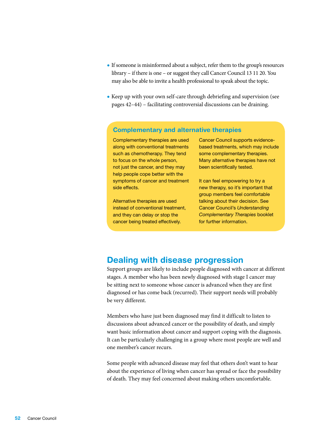- If someone is misinformed about a subject, refer them to the group's resources library – if there is one – or suggest they call Cancer Council 13 11 20. You may also be able to invite a health professional to speak about the topic.
- Keep up with your own self-care through debriefing and supervision (see pages 42–44) – facilitating controversial discussions can be draining.

### Complementary and alternative therapies

Complementary therapies are used along with conventional treatments such as chemotherapy. They tend to focus on the whole person, not just the cancer, and they may help people cope better with the symptoms of cancer and treatment side effects.

Alternative therapies are used instead of conventional treatment, and they can delay or stop the cancer being treated effectively.

Cancer Council supports evidencebased treatments, which may include some complementary therapies. Many alternative therapies have not been scientifically tested.

It can feel empowering to try a new therapy, so it's important that group members feel comfortable talking about their decision. See Cancer Council's *Understanding Complementary Therapies* booklet for further information.

## Dealing with disease progression

Support groups are likely to include people diagnosed with cancer at different stages. A member who has been newly diagnosed with stage I cancer may be sitting next to someone whose cancer is advanced when they are first diagnosed or has come back (recurred). Their support needs will probably be very different.

Members who have just been diagnosed may find it difficult to listen to discussions about advanced cancer or the possibility of death, and simply want basic information about cancer and support coping with the diagnosis. It can be particularly challenging in a group where most people are well and one member's cancer recurs.

Some people with advanced disease may feel that others don't want to hear about the experience of living when cancer has spread or face the possibility of death. They may feel concerned about making others uncomfortable.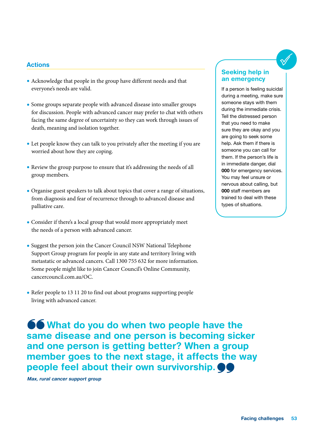### **Actions**

- Acknowledge that people in the group have different needs and that everyone's needs are valid.
- Some groups separate people with advanced disease into smaller groups for discussion. People with advanced cancer may prefer to chat with others facing the same degree of uncertainty so they can work through issues of death, meaning and isolation together.
- Let people know they can talk to you privately after the meeting if you are worried about how they are coping.
- Review the group purpose to ensure that it's addressing the needs of all group members.
- Organise guest speakers to talk about topics that cover a range of situations, from diagnosis and fear of recurrence through to advanced disease and palliative care.
- Consider if there's a local group that would more appropriately meet the needs of a person with advanced cancer.
- Suggest the person join the Cancer Council NSW National Telephone Support Group program for people in any state and territory living with metastatic or advanced cancers. Call 1300 755 632 for more information. Some people might like to join Cancer Council's Online Community, [cancercouncil.com.au/OC.](http://cancercouncil.com.au/OC)
- Refer people to 13 11 20 to find out about programs supporting people living with advanced cancer.

**66** What do you do when two people have the same disease and one person is becoming sicker and one person is getting better? When a group member goes to the next stage, it affects the way people feel about their own survivorship.

Max, rural cancer support group

### Seeking help in an emergency

If a person is feeling suicidal during a meeting, make sure someone stays with them during the immediate crisis. Tell the distressed person that you need to make sure they are okay and you are going to seek some help. Ask them if there is someone you can call for them. If the person's life is in immediate danger, dial 000 for emergency services. You may feel unsure or nervous about calling, but 000 staff members are trained to deal with these types of situations.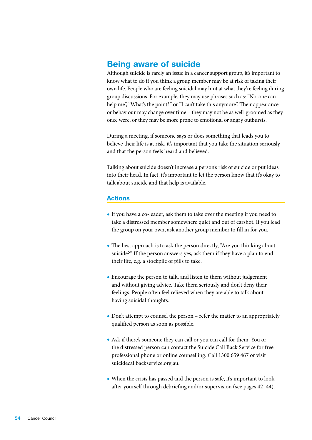## Being aware of suicide

Although suicide is rarely an issue in a cancer support group, it's important to know what to do if you think a group member may be at risk of taking their own life. People who are feeling suicidal may hint at what they're feeling during group discussions. For example, they may use phrases such as: "No-one can help me", "What's the point?" or "I can't take this anymore". Their appearance or behaviour may change over time – they may not be as well-groomed as they once were, or they may be more prone to emotional or angry outbursts.

During a meeting, if someone says or does something that leads you to believe their life is at risk, it's important that you take the situation seriously and that the person feels heard and believed.

Talking about suicide doesn't increase a person's risk of suicide or put ideas into their head. In fact, it's important to let the person know that it's okay to talk about suicide and that help is available.

### Actions

- If you have a co-leader, ask them to take over the meeting if you need to take a distressed member somewhere quiet and out of earshot. If you lead the group on your own, ask another group member to fill in for you.
- The best approach is to ask the person directly, "Are you thinking about suicide?" If the person answers yes, ask them if they have a plan to end their life, e.g. a stockpile of pills to take.
- Encourage the person to talk, and listen to them without judgement and without giving advice. Take them seriously and don't deny their feelings. People often feel relieved when they are able to talk about having suicidal thoughts.
- Don't attempt to counsel the person refer the matter to an appropriately qualified person as soon as possible.
- Ask if there's someone they can call or you can call for them. You or the distressed person can contact the Suicide Call Back Service for free professional phone or online counselling. Call 1300 659 467 or visit [suicidecallbackservice.org.au](http://suicidecallbackservice.org.au).
- When the crisis has passed and the person is safe, it's important to look after yourself through debriefing and/or supervision (see pages 42–44).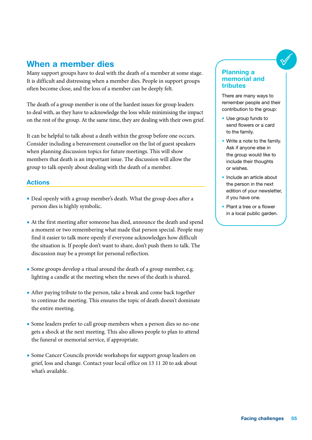## When a member dies

Many support groups have to deal with the death of a member at some stage. It is difficult and distressing when a member dies. People in support groups often become close, and the loss of a member can be deeply felt.

The death of a group member is one of the hardest issues for group leaders to deal with, as they have to acknowledge the loss while minimising the impact on the rest of the group. At the same time, they are dealing with their own grief.

It can be helpful to talk about a death within the group before one occurs. Consider including a bereavement counsellor on the list of guest speakers when planning discussion topics for future meetings. This will show members that death is an important issue. The discussion will allow the group to talk openly about dealing with the death of a member.

## Actions

- Deal openly with a group member's death. What the group does after a person dies is highly symbolic.
- At the first meeting after someone has died, announce the death and spend a moment or two remembering what made that person special. People may find it easier to talk more openly if everyone acknowledges how difficult the situation is. If people don't want to share, don't push them to talk. The discussion may be a prompt for personal reflection.
- Some groups develop a ritual around the death of a group member, e.g. lighting a candle at the meeting when the news of the death is shared.
- After paying tribute to the person, take a break and come back together to continue the meeting. This ensures the topic of death doesn't dominate the entire meeting.
- Some leaders prefer to call group members when a person dies so no-one gets a shock at the next meeting. This also allows people to plan to attend the funeral or memorial service, if appropriate.
- Some Cancer Councils provide workshops for support group leaders on grief, loss and change. Contact your local office on 13 11 20 to ask about what's available.

#### Planning a memorial and tributes

There are many ways to remember people and their contribution to the group:

- Use group funds to send flowers or a card to the family.
- Write a note to the family. Ask if anyone else in the group would like to include their thoughts or wishes.
- Include an article about the person in the next edition of your newsletter, if you have one.
- Plant a tree or a flower in a local public garden.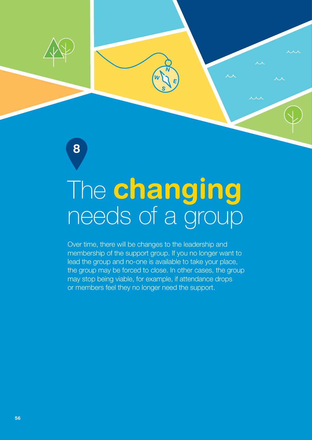8

## needs of a group The changing

Over time, there will be changes to the leadership and membership of the support group. If you no longer want to lead the group and no-one is available to take your place, the group may be forced to close. In other cases, the group may stop being viable, for example, if attendance drops or members feel they no longer need the support.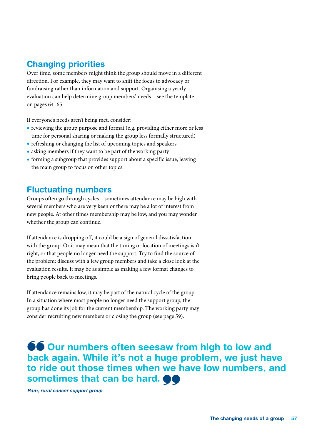## Changing priorities

Over time, some members might think the group should move in a different direction. For example, they may want to shift the focus to advocacy or fundraising rather than information and support. Organising a yearly evaluation can help determine group members' needs – see the template on pages 64–65.

If everyone's needs aren't being met, consider:

- reviewing the group purpose and format (e.g. providing either more or less time for personal sharing or making the group less formally structured)
- refreshing or changing the list of upcoming topics and speakers
- asking members if they want to be part of the working party
- forming a subgroup that provides support about a specific issue, leaving the main group to focus on other topics.

## Fluctuating numbers

Groups often go through cycles – sometimes attendance may be high with several members who are very keen or there may be a lot of interest from new people. At other times membership may be low, and you may wonder whether the group can continue.

If attendance is dropping off, it could be a sign of general dissatisfaction with the group. Or it may mean that the timing or location of meetings isn't right, or that people no longer need the support. Try to find the source of the problem: discuss with a few group members and take a close look at the evaluation results. It may be as simple as making a few format changes to bring people back to meetings.

If attendance remains low, it may be part of the natural cycle of the group. In a situation where most people no longer need the support group, the group has done its job for the current membership. The working party may consider recruiting new members or closing the group (see page 59).

**66 Our numbers often seesaw from high to low and** back again. While it's not a huge problem, we just have to ride out those times when we have low numbers, and sometimes that can be hard.  $\bullet\bullet$ 

Pam, rural cancer support group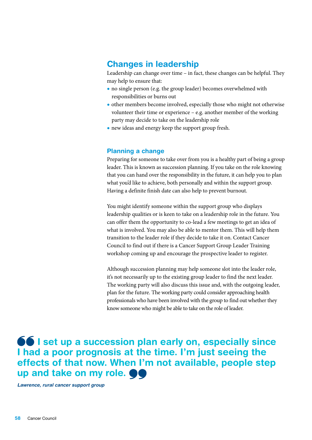## Changes in leadership

Leadership can change over time – in fact, these changes can be helpful. They may help to ensure that:

- no single person (e.g. the group leader) becomes overwhelmed with responsibilities or burns out
- other members become involved, especially those who might not otherwise volunteer their time or experience – e.g. another member of the working party may decide to take on the leadership role
- new ideas and energy keep the support group fresh.

#### Planning a change

Preparing for someone to take over from you is a healthy part of being a group leader. This is known as succession planning. If you take on the role knowing that you can hand over the responsibility in the future, it can help you to plan what you'd like to achieve, both personally and within the support group. Having a definite finish date can also help to prevent burnout.

You might identify someone within the support group who displays leadership qualities or is keen to take on a leadership role in the future. You can offer them the opportunity to co-lead a few meetings to get an idea of what is involved. You may also be able to mentor them. This will help them transition to the leader role if they decide to take it on. Contact Cancer Council to find out if there is a Cancer Support Group Leader Training workshop coming up and encourage the prospective leader to register.

Although succession planning may help someone slot into the leader role, it's not necessarily up to the existing group leader to find the next leader. The working party will also discuss this issue and, with the outgoing leader, plan for the future. The working party could consider approaching health professionals who have been involved with the group to find out whether they know someone who might be able to take on the role of leader.

**66** I set up a succession plan early on, especially since I had a poor prognosis at the time. I'm just seeing the effects of that now. When I'm not available, people step up and take on my role.  $\bullet\bullet$ 

Lawrence, rural cancer support group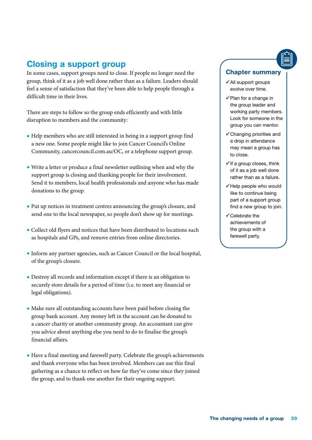## Closing a support group

In some cases, support groups need to close. If people no longer need the group, think of it as a job well done rather than as a failure. Leaders should feel a sense of satisfaction that they've been able to help people through a difficult time in their lives.

There are steps to follow so the group ends efficiently and with little disruption to members and the community:

- Help members who are still interested in being in a support group find a new one. Some people might like to join Cancer Council's Online Community, [cancercouncil.com.au/OC](http://cancercouncil.com.au/OC), or a telephone support group.
- Write a letter or produce a final newsletter outlining when and why the support group is closing and thanking people for their involvement. Send it to members, local health professionals and anyone who has made donations to the group.
- Put up notices in treatment centres announcing the group's closure, and send one to the local newspaper, so people don't show up for meetings.
- Collect old flyers and notices that have been distributed to locations such as hospitals and GPs, and remove entries from online directories.
- Inform any partner agencies, such as Cancer Council or the local hospital, of the group's closure.
- Destroy all records and information except if there is an obligation to securely store details for a period of time (i.e. to meet any financial or legal obligations).
- Make sure all outstanding accounts have been paid before closing the group bank account. Any money left in the account can be donated to a cancer charity or another community group. An accountant can give you advice about anything else you need to do to finalise the group's financial affairs.
- Have a final meeting and farewell party. Celebrate the group's achievements and thank everyone who has been involved. Members can use this final gathering as a chance to reflect on how far they've come since they joined the group, and to thank one another for their ongoing support.

## Chapter summary

- $\checkmark$  All support groups evolve over time.
- $\checkmark$  Plan for a change in the group leader and working party members. Look for someone in the group you can mentor.
- Changing priorities and a drop in attendance may mean a group has to close.
- $\checkmark$  If a group closes, think of it as a job well done rather than as a failure.
- $\checkmark$  Help people who would like to continue being part of a support group find a new group to join.
- $\checkmark$  Celebrate the achievements of the group with a farewell party.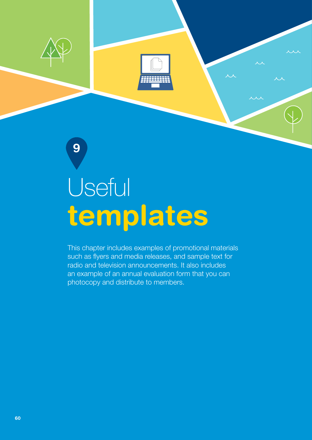

# templates **Useful**

This chapter includes examples of promotional materials such as flyers and media releases, and sample text for radio and television announcements. It also includes an example of an annual evaluation form that you can photocopy and distribute to members.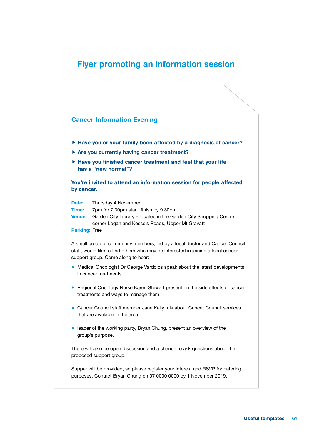## Flyer promoting an information session

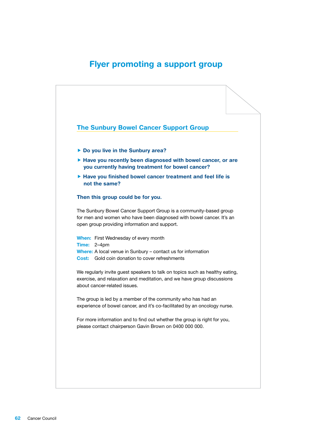## Flyer promoting a support group

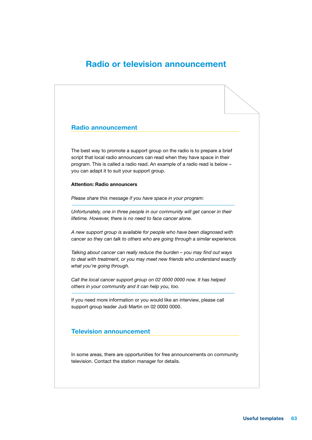## Radio or television announcement

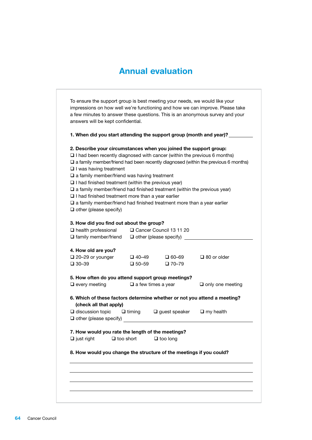## Annual evaluation

| To ensure the support group is best meeting your needs, we would like your<br>impressions on how well we're functioning and how we can improve. Please take<br>a few minutes to answer these questions. This is an anonymous survey and your<br>answers will be kept confidential.                                                                                                                                                                                                                                                                                                  |                                 |                                 |                                                                                             |
|-------------------------------------------------------------------------------------------------------------------------------------------------------------------------------------------------------------------------------------------------------------------------------------------------------------------------------------------------------------------------------------------------------------------------------------------------------------------------------------------------------------------------------------------------------------------------------------|---------------------------------|---------------------------------|---------------------------------------------------------------------------------------------|
| 1. When did you start attending the support group (month and year)? _____                                                                                                                                                                                                                                                                                                                                                                                                                                                                                                           |                                 |                                 |                                                                                             |
| 2. Describe your circumstances when you joined the support group:<br>$\Box$ I had been recently diagnosed with cancer (within the previous 6 months)<br>$\Box$ I was having treatment<br>$\square$ a family member/friend was having treatment<br>$\Box$ I had finished treatment (within the previous year)<br>$\square$ a family member/friend had finished treatment (within the previous year)<br>$\Box$ I had finished treatment more than a year earlier<br>$\square$ a family member/friend had finished treatment more than a year earlier<br>$\Box$ other (please specify) |                                 |                                 | $\square$ a family member/friend had been recently diagnosed (within the previous 6 months) |
| 3. How did you find out about the group?<br>$\Box$ health professional<br>$\Box$ family member/friend $\Box$ other (please specify)                                                                                                                                                                                                                                                                                                                                                                                                                                                 |                                 | □ Cancer Council 13 11 20       |                                                                                             |
| 4. How old are you?<br>$\Box$ 20-29 or younger<br>$\square$ 30-39                                                                                                                                                                                                                                                                                                                                                                                                                                                                                                                   | $\Box$ 40–49<br>$\square$ 50–59 | $\Box$ 60–69<br>$\square$ 70–79 | $\Box$ 80 or older                                                                          |
| 5. How often do you attend support group meetings?<br>$\Box$ every meeting                                                                                                                                                                                                                                                                                                                                                                                                                                                                                                          | $\Box$ a few times a year       |                                 | $\Box$ only one meeting                                                                     |
| 6. Which of these factors determine whether or not you attend a meeting?<br>(check all that apply)                                                                                                                                                                                                                                                                                                                                                                                                                                                                                  |                                 |                                 |                                                                                             |
| $\Box$ discussion topic<br>$\Box$ other (please specify)                                                                                                                                                                                                                                                                                                                                                                                                                                                                                                                            | $\square$ timing                | $\square$ guest speaker         | $\Box$ my health                                                                            |
| 7. How would you rate the length of the meetings?<br>$\Box$ just right<br>$\Box$ too short                                                                                                                                                                                                                                                                                                                                                                                                                                                                                          |                                 | $\Box$ too long                 |                                                                                             |
| 8. How would you change the structure of the meetings if you could?                                                                                                                                                                                                                                                                                                                                                                                                                                                                                                                 |                                 |                                 |                                                                                             |
|                                                                                                                                                                                                                                                                                                                                                                                                                                                                                                                                                                                     |                                 |                                 |                                                                                             |
|                                                                                                                                                                                                                                                                                                                                                                                                                                                                                                                                                                                     |                                 |                                 |                                                                                             |
|                                                                                                                                                                                                                                                                                                                                                                                                                                                                                                                                                                                     |                                 |                                 |                                                                                             |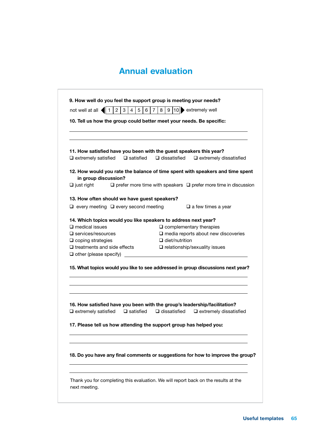## **Annual evaluation**

| $\overline{2}$<br>3<br>5<br>not well at all $\blacktriangleleft$                       | 9 10 <br>extremely well<br>6<br>8<br>7                                                                                         |  |
|----------------------------------------------------------------------------------------|--------------------------------------------------------------------------------------------------------------------------------|--|
|                                                                                        | 10. Tell us how the group could better meet your needs. Be specific:                                                           |  |
|                                                                                        | 11. How satisfied have you been with the guest speakers this year?                                                             |  |
| $\Box$ extremely satisfied                                                             | $\Box$ satisfied $\Box$ dissatisfied<br>$\Box$ extremely dissatisfied                                                          |  |
|                                                                                        | 12. How would you rate the balance of time spent with speakers and time spent                                                  |  |
| in group discussion?<br>$\Box$ just right                                              | $\square$ prefer more time with speakers $\square$ prefer more time in discussion                                              |  |
| 13. How often should we have guest speakers?                                           |                                                                                                                                |  |
| $\Box$ every meeting $\Box$ every second meeting                                       | $\Box$ a few times a year                                                                                                      |  |
| 14. Which topics would you like speakers to address next year?                         |                                                                                                                                |  |
| $\square$ medical issues                                                               | $\square$ complementary therapies                                                                                              |  |
| $\square$ services/resources                                                           | $\square$ media reports about new discoveries                                                                                  |  |
| $\square$ coping strategies                                                            | $\Box$ diet/nutrition                                                                                                          |  |
| $\Box$ treatments and side effects                                                     | $\square$ relationship/sexuality issues                                                                                        |  |
| $\Box$ other (please specify)                                                          |                                                                                                                                |  |
|                                                                                        | 15. What topics would you like to see addressed in group discussions next year?                                                |  |
| $\Box$ satisfied<br>17. Please tell us how attending the support group has helped you: | 16. How satisfied have you been with the group's leadership/facilitation?<br>$\Box$ dissatisfied $\Box$ extremely dissatisfied |  |
|                                                                                        |                                                                                                                                |  |
| $\Box$ extremely satisfied                                                             | 18. Do you have any final comments or suggestions for how to improve the group?                                                |  |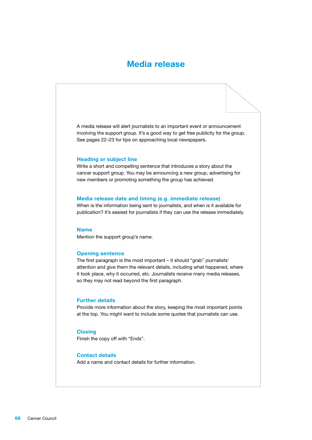## Media release

A media release will alert journalists to an important event or announcement involving the support group. It's a good way to get free publicity for the group. See pages 22–23 for tips on approaching local newspapers.

#### Heading or subject line

Write a short and compelling sentence that introduces a story about the cancer support group. You may be announcing a new group, advertising for new members or promoting something the group has achieved.

#### Media release date and timing (e.g. immediate release)

When is the information being sent to journalists, and when is it available for publication? It's easiest for journalists if they can use the release immediately.

#### Name

Mention the support group's name.

#### Opening sentence

The first paragraph is the most important – it should "grab" journalists' attention and give them the relevant details, including what happened, where it took place, why it occurred, etc. Journalists receive many media releases, so they may not read beyond the first paragraph.

#### Further details

Provide more information about the story, keeping the most important points at the top. You might want to include some quotes that journalists can use.

#### **Closing**

Finish the copy off with "Ends".

#### Contact details

Add a name and contact details for further information.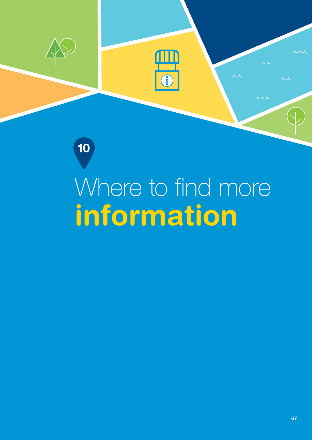

10

# information Where to find more

O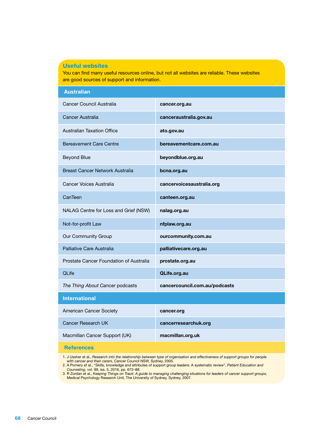#### Useful websites

You can find many useful resources online, but not all websites are reliable. These websites are good sources of support and information.

| <b>Australian</b>                       |                               |
|-----------------------------------------|-------------------------------|
| Cancer Council Australia                | cancer.org.au                 |
| Cancer Australia                        | canceraustralia.gov.au        |
| <b>Australian Taxation Office</b>       | ato.gov.au                    |
| <b>Bereavement Care Centre</b>          | bereavementcare.com.au        |
| <b>Beyond Blue</b>                      | beyondblue.org.au             |
| Breast Cancer Network Australia         | bcna.org.au                   |
| Cancer Voices Australia                 | cancervoicesaustralia.org     |
| CanTeen                                 | canteen.org.au                |
| NALAG Centre for Loss and Grief (NSW)   | nalag.org.au                  |
| Not-for-profit Law                      | nfplaw.org.au                 |
| Our Community Group                     | ourcommunity.com.au           |
| Palliative Care Australia               | palliativecare.org.au         |
| Prostate Cancer Foundation of Australia | prostate.org.au               |
| QLife                                   | QLife.org.au                  |
| The Thing About Cancer podcasts         | cancercouncil.com.au/podcasts |
| <b>International</b>                    |                               |
| American Cancer Society                 | cancer.org                    |
| Cancer Research UK                      | cancerresearchuk.org          |
| Macmillan Cancer Support (UK)           | macmillan.org.uk              |
| <b>References</b>                       |                               |

1. J Ussher et al., *Research into the relationship between type of organisation and effectiveness of support groups for people with cancer and their carers*, Cancer Council NSW, Sydney, 2005.

2. A Pomery et al., "Skills, knowledge and attributes of support group leaders: A systematic review", *Patient Education and Counseling*, vol. 99, iss. 5, 2016, pp. 672–88.

3. R Zordan et al., *Keeping Things on Track: A guide to managing challenging situations for leaders of cancer support groups*, Medical Psychology Research Unit, The University of Sydney, Sydney, 2007.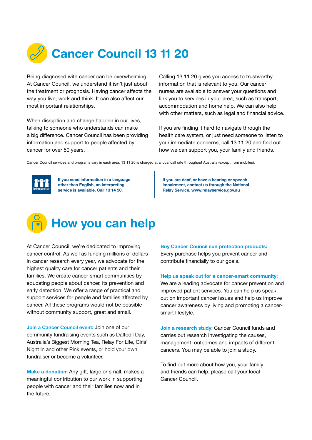

Being diagnosed with cancer can be overwhelming. At Cancer Council, we understand it isn't just about the treatment or prognosis. Having cancer affects the way you live, work and think. It can also affect our most important relationships.

When disruption and change happen in our lives, talking to someone who understands can make a big difference. Cancer Council has been providing information and support to people affected by cancer for over 50 years.

Calling 13 11 20 gives you access to trustworthy information that is relevant to you. Our cancer nurses are available to answer your questions and link you to services in your area, such as transport, accommodation and home help. We can also help with other matters, such as legal and financial advice.

If you are finding it hard to navigate through the health care system, or just need someone to listen to your immediate concerns, call 13 11 20 and find out how we can support you, your family and friends.

Cancer Council services and programs vary in each area. 13 11 20 is charged at a local call rate throughout Australia (except from mobiles).



If you need information in a language other than English, an interpreting service is available. Call 13 14 50.

If you are deaf, or have a hearing or speech impairment, contact us through the National Relay Service. [www.relayservice.gov.au](http://www.relayservice.gov.au)



At Cancer Council, we're dedicated to improving cancer control. As well as funding millions of dollars in cancer research every year, we advocate for the highest quality care for cancer patients and their families. We create cancer-smart communities by educating people about cancer, its prevention and early detection. We offer a range of practical and support services for people and families affected by cancer. All these programs would not be possible without community support, great and small.

Join a Cancer Council event: Join one of our community fundraising events such as Daffodil Day, Australia's Biggest Morning Tea, Relay For Life, Girls' Night In and other Pink events, or hold your own fundraiser or become a volunteer.

Make a donation: Any gift, large or small, makes a meaningful contribution to our work in supporting people with cancer and their families now and in the future.

Buy Cancer Council sun protection products: Every purchase helps you prevent cancer and contribute financially to our goals.

Help us speak out for a cancer-smart community:

We are a leading advocate for cancer prevention and improved patient services. You can help us speak out on important cancer issues and help us improve cancer awareness by living and promoting a cancersmart lifestyle.

Join a research study: Cancer Council funds and carries out research investigating the causes, management, outcomes and impacts of different cancers. You may be able to join a study.

To find out more about how you, your family and friends can help, please call your local Cancer Council.